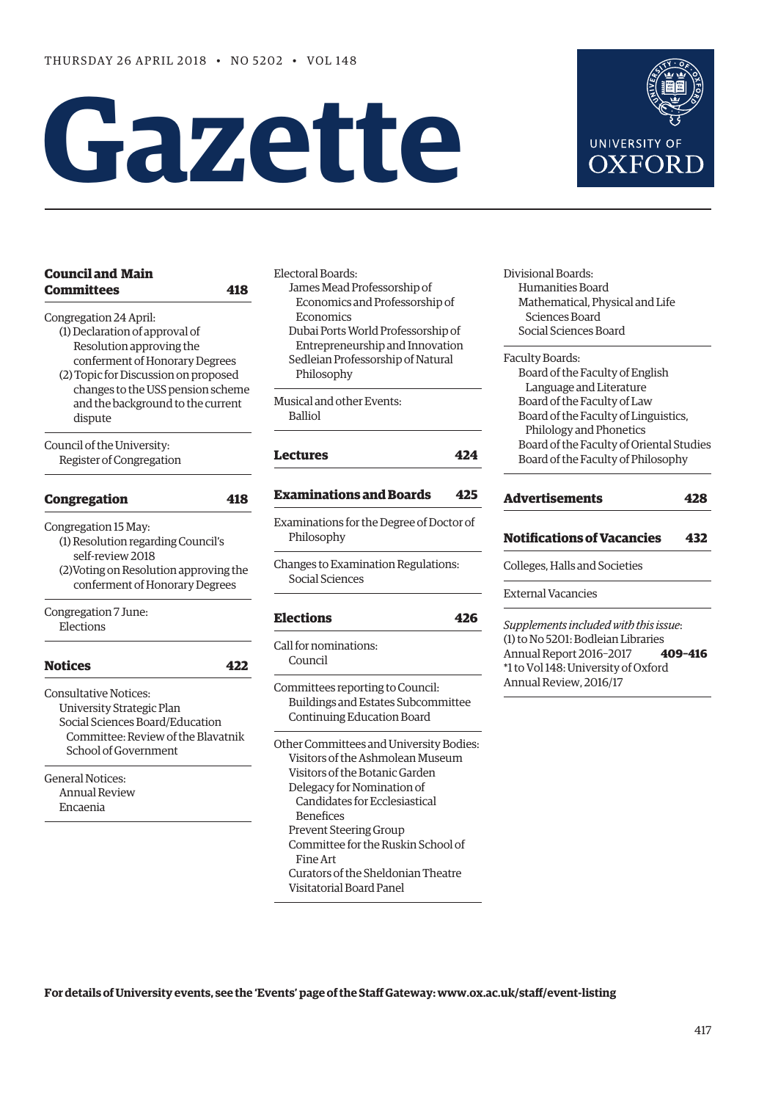# **Gazette**



Encaenia

Electoral Boards: James Mead Professorship of Economics and Professorship of Economics

Dubai Ports World Professorship of Entrepreneurship and Innovation Sedleian Professorship of Natural Philosophy

Musical and other Events: Balliol

# **[Lectures](#page-7-0) 424**

# **[Examinations and Boards](#page-8-0) 425**

Examinations for the Degree of Doctor of Philosophy

Changes to Examination Regulations: Social Sciences

# **[Elections](#page-9-0) 426**

Call for nominations: Council

Committees reporting to Council: Buildings and Estates Subcommittee Continuing Education Board

Other Committees and University Bodies: Visitors of the Ashmolean Museum Visitors of the Botanic Garden Delegacy for Nomination of Candidates for Ecclesiastical Benefices Prevent Steering Group Committee for the Ruskin School of Fine Art Curators of the Sheldonian Theatre Visitatorial Board Panel

Divisional Boards: Humanities Board Mathematical, Physical and Life Sciences Board Social Sciences Board

#### Faculty Boards:

Board of the Faculty of English Language and Literature Board of the Faculty of Law Board of the Faculty of Linguistics, Philology and Phonetics Board of the Faculty of Oriental Studies Board of the Faculty of Philosophy

# **[Advertisements](#page-11-0) 428**

# **[Notifications of Vacancies 432](#page-15-0)**

Colleges, Halls and Societies

External Vacancies

*Supplements included with this issue*: (1) to No 5201: Bodleian Libraries Annual Report 2016–2017 **409–416** \*1 to Vol 148: University of Oxford Annual Review, 2016/17

# **For details of University events, see the 'Events' page of the Staff Gateway: [www.ox.ac.uk/staff/event-listing](http://www.ox.ac.uk/staff/event-listing)**

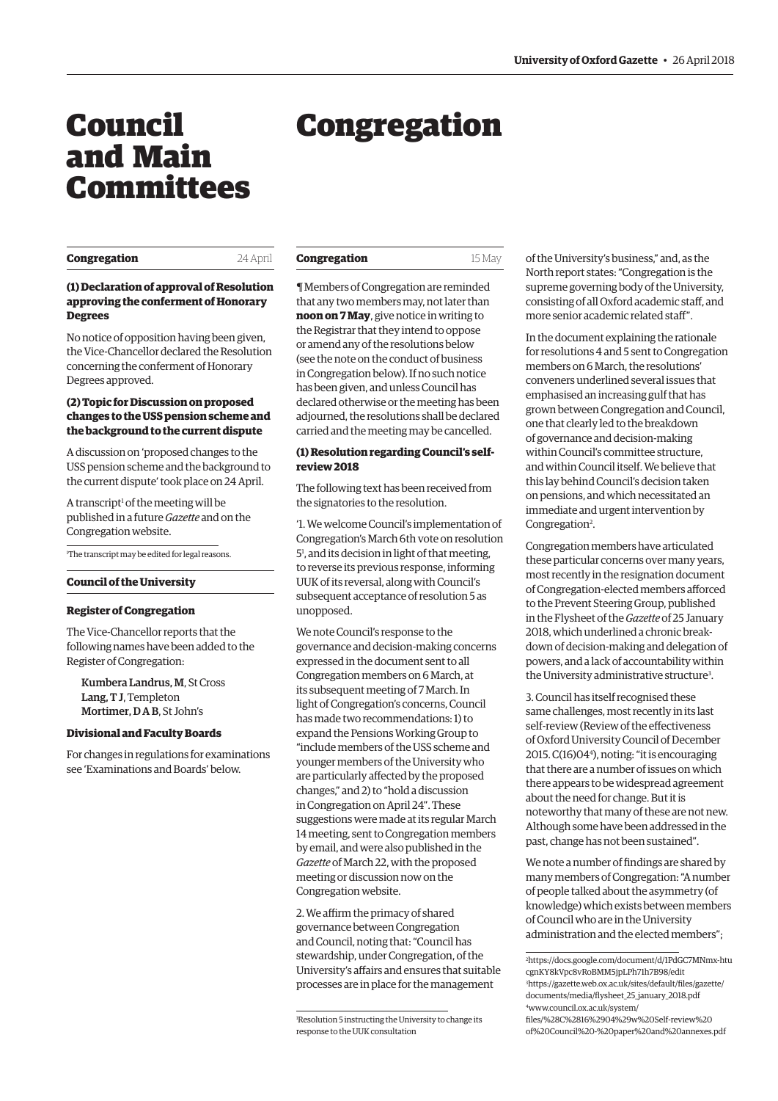# <span id="page-1-0"></span>Council and Main Committees

# Congregation

| Congregation |
|--------------|
|--------------|

24 April

**Congregation** 15 May

# **(1) Declaration of approval of Resolution approving the conferment of Honorary Degrees**

No notice of opposition having been given, the Vice-Chancellor declared the Resolution concerning the conferment of Honorary Degrees approved.

# **(2) Topic for Discussion on proposed changes to the USS pension scheme and the background to the current dispute**

A discussion on 'proposed changes to the USS pension scheme and the background to the current dispute' took place on 24 April.

A transcript<sup>1</sup> of the meeting will be published in a future *Gazette* and on the Congregation website.

1 The transcript may be edited for legal reasons.

#### **Council of the University**

# **Register of Congregation**

The Vice-Chancellor reports that the following names have been added to the Register of Congregation:

Kumbera Landrus, M, St Cross Lang, T J, Templeton Mortimer, D A B, St John's

#### **Divisional and Faculty Boards**

For changes in regulations for examinations see 'Examinations and Boards' below.

¶ Members of Congregation are reminded that any two members may, not later than **noon on 7 May**, give notice in writing to the Registrar that they intend to oppose or amend any of the resolutions below (see the note on the conduct of business in Congregation below). If no such notice has been given, and unless Council has declared otherwise or the meeting has been adjourned, the resolutions shall be declared carried and the meeting may be cancelled.

# **(1) Resolution regarding Council's selfreview 2018**

The following text has been received from the signatories to the resolution.

'1. We welcome Council's implementation of Congregation's March 6th vote on resolution 51 , and its decision in light of that meeting, to reverse its previous response, informing UUK of its reversal, along with Council's subsequent acceptance of resolution 5 as unopposed.

We note Council's response to the governance and decision-making concerns expressed in the document sent to all Congregation members on 6 March, at its subsequent meeting of 7 March. In light of Congregation's concerns, Council has made two recommendations: 1) to expand the Pensions Working Group to "include members of the USS scheme and younger members of the University who are particularly affected by the proposed changes," and 2) to "hold a discussion in Congregation on April 24". These suggestions were made at its regular March 14 meeting, sent to Congregation members by email, and were also published in the *Gazette* of March 22, with the proposed meeting or discussion now on the Congregation website.

2. We affirm the primacy of shared governance between Congregation and Council, noting that: "Council has stewardship, under Congregation, of the University's affairs and ensures that suitable processes are in place for the management

of the University's business," and, as the North report states: "Congregation is the supreme governing body of the University, consisting of all Oxford academic staff, and more senior academic related staff".

In the document explaining the rationale for resolutions 4 and 5 sent to Congregation members on 6 March, the resolutions' conveners underlined several issues that emphasised an increasing gulf that has grown between Congregation and Council, one that clearly led to the breakdown of governance and decision-making within Council's committee structure, and within Council itself. We believe that this lay behind Council's decision taken on pensions, and which necessitated an immediate and urgent intervention by Congregation<sup>2</sup>.

Congregation members have articulated these particular concerns over many years, most recently in the resignation document of Congregation-elected members afforced to the Prevent Steering Group, published in the Flysheet of the *Gazette* of 25 January 2018, which underlined a chronic breakdown of decision-making and delegation of powers, and a lack of accountability within the University administrative structure<sup>3</sup>.

3. Council has itself recognised these same challenges, most recently in its last self-review (Review of the effectiveness of Oxford University Council of December 2015. C(16)044 ), noting: "it is encouraging that there are a number of issues on which there appears to be widespread agreement about the need for change. But it is noteworthy that many of these are not new. Although some have been addressed in the past, change has not been sustained".

We note a number of findings are shared by many members of Congregation: "A number of people talked about the asymmetry (of knowledge) which exists between members of Council who are in the University administration and the elected members";

[of%20Council%20-%20paper%20and%20annexes.pdf](https://www.council.ox.ac.uk/system/files/%28C%2816%2904%29w%20Self-review%20of%20Council%20-%20paper%20and%20annexes.pdf)

<sup>1</sup> Resolution 5 instructing the University to change its response to the UUK consultation

<sup>2</sup> [https://docs.google.com/document/d/1PdGC7MNmx-htu](https://docs.google.com/document/d/1PdGC7MNmx-htucgnKY8kVpc8vRoBMM5jpLPh71h7B98/edit) cgnKY8kVpc8vRoBMM5jpLPh71h7B98/edit 3 [https://gazette.web.ox.ac.uk/sites/default/files/gazette/](https://gazette.web.ox.ac.uk/sites/default/files/gazette/documents/media/flysheet_25_january_2018.pdf) documents/media/flysheet\_25\_january\_2018.pdf 4 www.council.ox.ac.uk/system/ files/%28C%2816%2904%29w%20Self-review%20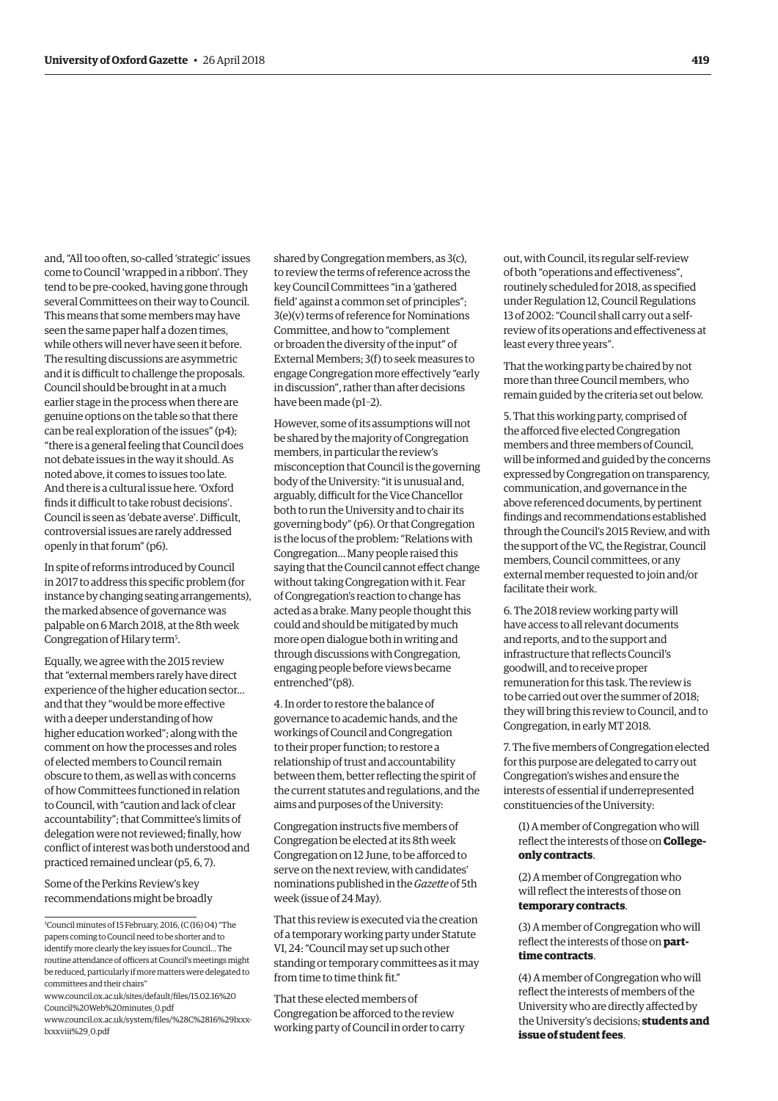and, "All too often, so-called 'strategic' issues come to Council 'wrapped in a ribbon'. They tend to be pre-cooked, having gone through several Committees on their way to Council. This means that some members may have seen the same paper half a dozen times, while others will never have seen it before. The resulting discussions are asymmetric and it is difficult to challenge the proposals. Council should be brought in at a much earlier stage in the process when there are genuine options on the table so that there can be real exploration of the issues" (p4); "there is a general feeling that Council does not debate issues in the way it should. As noted above, it comes to issues too late. And there is a cultural issue here. 'Oxford finds it difficult to take robust decisions'. Council is seen as 'debate averse'. Difficult, controversial issues are rarely addressed openly in that forum" (p6).

In spite of reforms introduced by Council in 2017 to address this specific problem (for instance by changing seating arrangements), the marked absence of governance was palpable on 6 March 2018, at the 8th week Congregation of Hilary term<sup>5</sup>.

Equally, we agree with the 2015 review that "external members rarely have direct experience of the higher education sector… and that they "would be more effective with a deeper understanding of how higher education worked"; along with the comment on how the processes and roles of elected members to Council remain obscure to them, as well as with concerns of how Committees functioned in relation to Council, with "caution and lack of clear accountability"; that Committee's limits of delegation were not reviewed; finally, how conflict of interest was both understood and practiced remained unclear (p5, 6, 7).

Some of the Perkins Review's key recommendations might be broadly

[www.council.ox.ac.uk/sites/default/files/15.02.16%20](https://www.council.ox.ac.uk/sites/default/files/15.02.16%20Council%20Web%20minutes_0.pdf) Council%20Web%20minutes\_0.pdf [www.council.ox.ac.uk/system/files/%28C%2816%29lxxx](http://www.council.ox.ac.uk/system/files/%28C%2816%29lxxx-lxxxviii%29_0.pdf)lxxxviii%29\_0.pdf

shared by Congregation members, as 3(c), to review the terms of reference across the key Council Committees "in a 'gathered field' against a common set of principles"; 3(e)(v) terms of reference for Nominations Committee, and how to "complement or broaden the diversity of the input" of External Members; 3(f) to seek measures to engage Congregation more effectively "early in discussion", rather than after decisions have been made (p1–2).

However, some of its assumptions will not be shared by the majority of Congregation members, in particular the review's misconception that Council is the governing body of the University: "it is unusual and, arguably, difficult for the Vice Chancellor both to run the University and to chair its governing body" (p6). Or that Congregation is the locus of the problem: "Relations with Congregation… Many people raised this saying that the Council cannot effect change without taking Congregation with it. Fear of Congregation's reaction to change has acted as a brake. Many people thought this could and should be mitigated by much more open dialogue both in writing and through discussions with Congregation, engaging people before views became entrenched"(p8).

4. In order to restore the balance of governance to academic hands, and the workings of Council and Congregation to their proper function; to restore a relationship of trust and accountability between them, better reflecting the spirit of the current statutes and regulations, and the aims and purposes of the University:

Congregation instructs five members of Congregation be elected at its 8th week Congregation on 12 June, to be afforced to serve on the next review, with candidates' nominations published in the *Gazette* of 5th week (issue of 24 May).

That this review is executed via the creation of a temporary working party under Statute VI, 24: "Council may set up such other standing or temporary committees as it may from time to time think fit."

That these elected members of Congregation be afforced to the review working party of Council in order to carry out, with Council, its regular self-review of both "operations and effectiveness", routinely scheduled for 2018, as specified under Regulation 12, Council Regulations 13 of 2002: "Council shall carry out a selfreview of its operations and effectiveness at least every three years".

That the working party be chaired by not more than three Council members, who remain guided by the criteria set out below.

5. That this working party, comprised of the afforced five elected Congregation members and three members of Council, will be informed and guided by the concerns expressed by Congregation on transparency, communication, and governance in the above referenced documents, by pertinent findings and recommendations established through the Council's 2015 Review, and with the support of the VC, the Registrar, Council members, Council committees, or any external member requested to join and/or facilitate their work.

6. The 2018 review working party will have access to all relevant documents and reports, and to the support and infrastructure that reflects Council's goodwill, and to receive proper remuneration for this task. The review is to be carried out over the summer of 2018; they will bring this review to Council, and to Congregation, in early MT 2018.

7. The five members of Congregation elected for this purpose are delegated to carry out Congregation's wishes and ensure the interests of essential if underrepresented constituencies of the University:

(1) A member of Congregation who will reflect the interests of those on **Collegeonly contracts**.

(2) A member of Congregation who will reflect the interests of those on **temporary contracts**.

(3) A member of Congregation who will reflect the interests of those on **parttime contracts**.

(4) A member of Congregation who will reflect the interests of members of the University who are directly affected by the University's decisions; **students and issue of student fees**.

<sup>5</sup> Council minutes of 15 February, 2016, (C (16) 04) "The papers coming to Council need to be shorter and to identify more clearly the key issues for Council… The routine attendance of officers at Council's meetings might be reduced, particularly if more matters were delegated to committees and their chairs"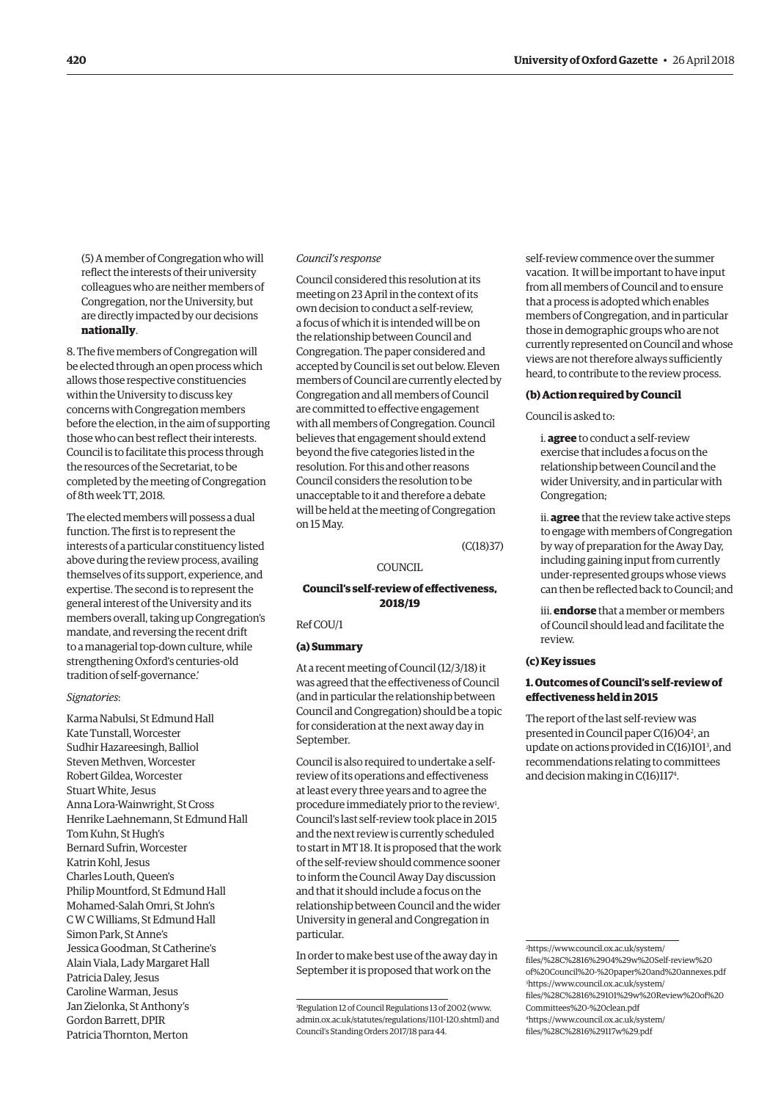(5) A member of Congregation who will reflect the interests of their university colleagues who are neither members of Congregation, nor the University, but are directly impacted by our decisions **nationally**.

8. The five members of Congregation will be elected through an open process which allows those respective constituencies within the University to discuss key concerns with Congregation members before the election, in the aim of supporting those who can best reflect their interests. Council is to facilitate this process through the resources of the Secretariat, to be completed by the meeting of Congregation of 8th week TT, 2018.

The elected members will possess a dual function. The first is to represent the interests of a particular constituency listed above during the review process, availing themselves of its support, experience, and expertise. The second is to represent the general interest of the University and its members overall, taking up Congregation's mandate, and reversing the recent drift to a managerial top-down culture, while strengthening Oxford's centuries-old tradition of self-governance.'

#### *Signatories*:

Karma Nabulsi, St Edmund Hall Kate Tunstall, Worcester Sudhir Hazareesingh, Balliol Steven Methven, Worcester Robert Gildea, Worcester Stuart White, Jesus Anna Lora-Wainwright, St Cross Henrike Laehnemann, St Edmund Hall Tom Kuhn, St Hugh's Bernard Sufrin, Worcester Katrin Kohl, Jesus Charles Louth, Queen's Philip Mountford, St Edmund Hall Mohamed-Salah Omri, St John's C W C Williams, St Edmund Hall Simon Park, St Anne's Jessica Goodman, St Catherine's Alain Viala, Lady Margaret Hall Patricia Daley, Jesus Caroline Warman, Jesus Jan Zielonka, St Anthony's Gordon Barrett, DPIR Patricia Thornton, Merton

#### *Council's response*

Council considered this resolution at its meeting on 23 April in the context of its own decision to conduct a self-review, a focus of which it is intended will be on the relationship between Council and Congregation. The paper considered and accepted by Council is set out below. Eleven members of Council are currently elected by Congregation and all members of Council are committed to effective engagement with all members of Congregation. Council believes that engagement should extend beyond the five categories listed in the resolution. For this and other reasons Council considers the resolution to be unacceptable to it and therefore a debate will be held at the meeting of Congregation on 15 May.

(C(18)37)

COUNCIL.

# **Council's self-review of effectiveness, 2018/19**

Ref COU/1

#### **(a) Summary**

At a recent meeting of Council (12/3/18) it was agreed that the effectiveness of Council (and in particular the relationship between Council and Congregation) should be a topic for consideration at the next away day in September.

Council is also required to undertake a selfreview of its operations and effectiveness at least every three years and to agree the procedure immediately prior to the review<sup>1</sup>. Council's last self-review took place in 2015 and the next review is currently scheduled to start in MT 18. It is proposed that the work of the self-review should commence sooner to inform the Council Away Day discussion and that it should include a focus on the relationship between Council and the wider University in general and Congregation in particular.

In order to make best use of the away day in September it is proposed that work on the

self-review commence over the summer vacation. It will be important to have input from all members of Council and to ensure that a process is adopted which enables members of Congregation, and in particular those in demographic groups who are not currently represented on Council and whose views are not therefore always sufficiently heard, to contribute to the review process.

#### **(b) Action required by Council**

Council is asked to:

i. **agree** to conduct a self-review exercise that includes a focus on the relationship between Council and the wider University, and in particular with Congregation;

ii. **agree** that the review take active steps to engage with members of Congregation by way of preparation for the Away Day, including gaining input from currently under-represented groups whose views can then be reflected back to Council; and

iii. **endorse** that a member or members of Council should lead and facilitate the review.

# **(c) Key issues**

# **1. Outcomes of Council's self-review of effectiveness held in 2015**

The report of the last self-review was presented in Council paper C(16)04<sup>2</sup>, an update on actions provided in C(16)101<sup>3</sup>, and recommendations relating to committees and decision making in C(16)1174 .

2 https://www.council.ox.ac.uk/system/ files/%28C%2816%2904%29w%20Self-review%20 [of%20Council%20-%20paper%20and%20annexes.pdf](https://www.council.ox.ac.uk/system/files/%28C%2816%2904%29w%20Self-review%20of%20Council%20-%20paper%20and%20annexes.pdf) 3 https://www.council.ox.ac.uk/system/ [files/%28C%2816%29101%29w%20Review%20of%20](= https://www.council.ox.ac.uk/system/files/%28C%2816%29101%29w%20Review%20of%20Committees%20-%20clean.pdf) Committees%20-%20clean.pdf 4 [https://www.council.ox.ac.uk/system/](https://www.council.ox.ac.uk/system/files/%28C%2816%29117w%29.pdf) files/%28C%2816%29117w%29.pdf

<sup>1</sup> Regulation 12 of Council Regulations 13 of 2002 [\(www.](http://www.admin.ox.ac.uk/statutes/regulations/1101-120.shtml) [admin.ox.ac.uk/statutes/regulations/1101-120.shtml\) an](http://www.admin.ox.ac.uk/statutes/regulations/1101-120.shtml)d Council's Standing Orders 2017/18 para 44.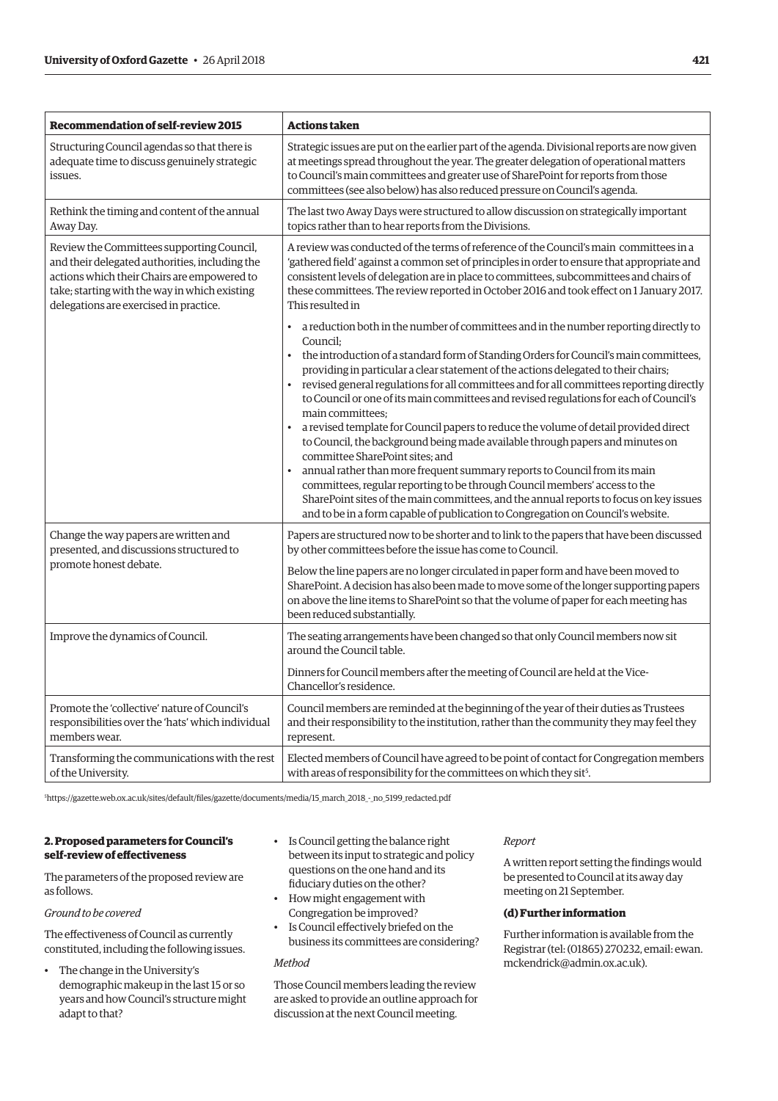| Recommendation of self-review 2015                                                                                                                                                                                                    | <b>Actions taken</b>                                                                                                                                                                                                                                                                                                                                                                                                                                                                                                                                                                                                                                                                                                                                                                                                                                                                                                                                                                                                                            |
|---------------------------------------------------------------------------------------------------------------------------------------------------------------------------------------------------------------------------------------|-------------------------------------------------------------------------------------------------------------------------------------------------------------------------------------------------------------------------------------------------------------------------------------------------------------------------------------------------------------------------------------------------------------------------------------------------------------------------------------------------------------------------------------------------------------------------------------------------------------------------------------------------------------------------------------------------------------------------------------------------------------------------------------------------------------------------------------------------------------------------------------------------------------------------------------------------------------------------------------------------------------------------------------------------|
| Structuring Council agendas so that there is<br>adequate time to discuss genuinely strategic<br>issues.                                                                                                                               | Strategic issues are put on the earlier part of the agenda. Divisional reports are now given<br>at meetings spread throughout the year. The greater delegation of operational matters<br>to Council's main committees and greater use of SharePoint for reports from those<br>committees (see also below) has also reduced pressure on Council's agenda.                                                                                                                                                                                                                                                                                                                                                                                                                                                                                                                                                                                                                                                                                        |
| Rethink the timing and content of the annual<br>Away Day.                                                                                                                                                                             | The last two Away Days were structured to allow discussion on strategically important<br>topics rather than to hear reports from the Divisions.                                                                                                                                                                                                                                                                                                                                                                                                                                                                                                                                                                                                                                                                                                                                                                                                                                                                                                 |
| Review the Committees supporting Council,<br>and their delegated authorities, including the<br>actions which their Chairs are empowered to<br>take; starting with the way in which existing<br>delegations are exercised in practice. | A review was conducted of the terms of reference of the Council's main committees in a<br>'gathered field' against a common set of principles in order to ensure that appropriate and<br>consistent levels of delegation are in place to committees, subcommittees and chairs of<br>these committees. The review reported in October 2016 and took effect on 1 January 2017.<br>This resulted in                                                                                                                                                                                                                                                                                                                                                                                                                                                                                                                                                                                                                                                |
|                                                                                                                                                                                                                                       | a reduction both in the number of committees and in the number reporting directly to<br>Council:<br>the introduction of a standard form of Standing Orders for Council's main committees,<br>providing in particular a clear statement of the actions delegated to their chairs;<br>revised general regulations for all committees and for all committees reporting directly<br>to Council or one of its main committees and revised regulations for each of Council's<br>main committees;<br>a revised template for Council papers to reduce the volume of detail provided direct<br>to Council, the background being made available through papers and minutes on<br>committee SharePoint sites; and<br>annual rather than more frequent summary reports to Council from its main<br>committees, regular reporting to be through Council members' access to the<br>SharePoint sites of the main committees, and the annual reports to focus on key issues<br>and to be in a form capable of publication to Congregation on Council's website. |
| Change the way papers are written and<br>presented, and discussions structured to<br>promote honest debate.                                                                                                                           | Papers are structured now to be shorter and to link to the papers that have been discussed<br>by other committees before the issue has come to Council.<br>Below the line papers are no longer circulated in paper form and have been moved to<br>SharePoint. A decision has also been made to move some of the longer supporting papers<br>on above the line items to SharePoint so that the volume of paper for each meeting has<br>been reduced substantially.                                                                                                                                                                                                                                                                                                                                                                                                                                                                                                                                                                               |
| Improve the dynamics of Council.                                                                                                                                                                                                      | The seating arrangements have been changed so that only Council members now sit<br>around the Council table.<br>Dinners for Council members after the meeting of Council are held at the Vice-<br>Chancellor's residence.                                                                                                                                                                                                                                                                                                                                                                                                                                                                                                                                                                                                                                                                                                                                                                                                                       |
| Promote the 'collective' nature of Council's<br>responsibilities over the 'hats' which individual<br>members wear.                                                                                                                    | Council members are reminded at the beginning of the year of their duties as Trustees<br>and their responsibility to the institution, rather than the community they may feel they<br>represent.                                                                                                                                                                                                                                                                                                                                                                                                                                                                                                                                                                                                                                                                                                                                                                                                                                                |
| Transforming the communications with the rest<br>of the University.                                                                                                                                                                   | Elected members of Council have agreed to be point of contact for Congregation members<br>with areas of responsibility for the committees on which they sit <sup>5</sup> .                                                                                                                                                                                                                                                                                                                                                                                                                                                                                                                                                                                                                                                                                                                                                                                                                                                                      |

5 [https://gazette.web.ox.ac.uk/sites/default/files/gazette/documents/media/15\\_march\\_2018\\_-\\_no\\_5199\\_redacted.pdf](https://gazette.web.ox.ac.uk/sites/default/files/gazette/documents/media/15_march_2018_-_no_5199_redacted.pdf) 

# **2. Proposed parameters for Council's self-review of effectiveness**

The parameters of the proposed review are as follows.

# *Ground to be covered*

The effectiveness of Council as currently constituted, including the following issues.

- The change in the University's demographic makeup in the last 15 or so years and how Council's structure might adapt to that?
- Is Council getting the balance right between its input to strategic and policy questions on the one hand and its fiduciary duties on the other?
- How might engagement with Congregation be improved?
- Is Council effectively briefed on the business its committees are considering?

#### *Method*

Those Council members leading the review are asked to provide an outline approach for discussion at the next Council meeting.

#### *Report*

A written report setting the findings would be presented to Council at its away day meeting on 21 September.

#### **(d) Further information**

Further information is available from the [Registrar \(tel: \(01865\) 270232, email: ewan.](mailto:ewan.mckendrick@admin.ox.ac.uk) mckendrick@admin.ox.ac.uk).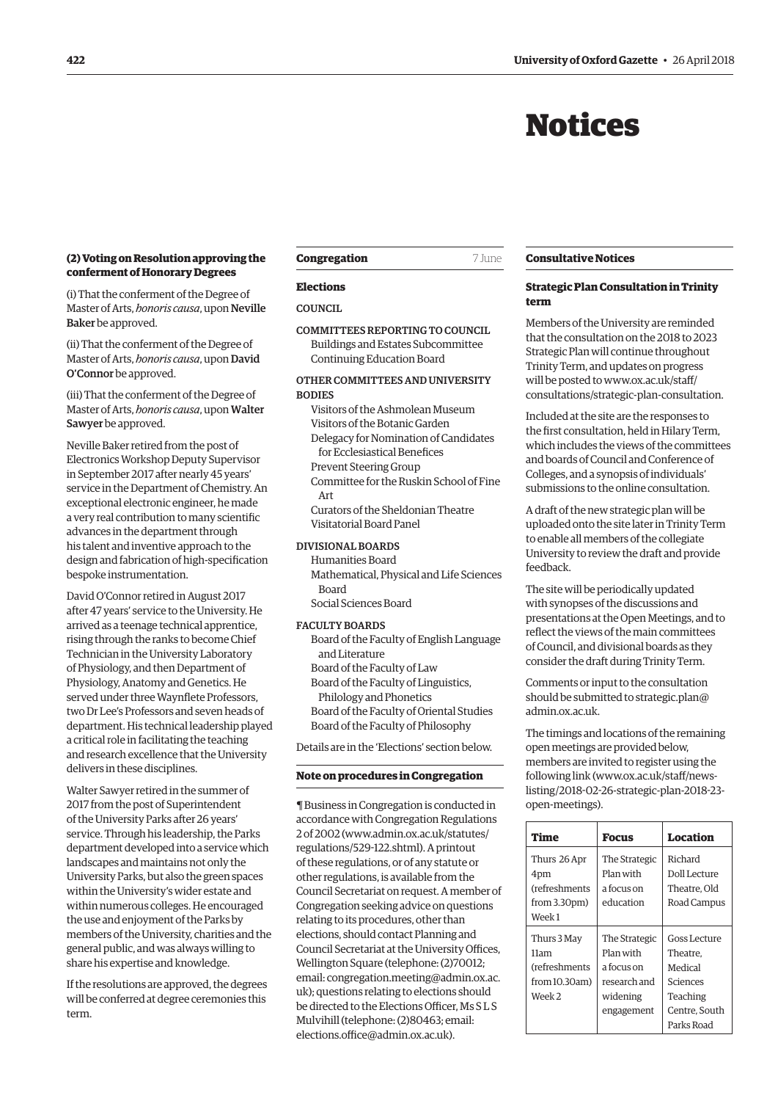# Notices

# <span id="page-5-0"></span>**(2) Voting on Resolution approving the conferment of Honorary Degrees**

(i) That the conferment of the Degree of Master of Arts, *honoris causa*, upon Neville Baker be approved.

(ii) That the conferment of the Degree of Master of Arts, *honoris causa*, upon David O'Connor be approved.

(iii) That the conferment of the Degree of Master of Arts, *honoris causa*, upon Walter Sawyer be approved.

Neville Baker retired from the post of Electronics Workshop Deputy Supervisor in September 2017 after nearly 45 years' service in the Department of Chemistry. An exceptional electronic engineer, he made a very real contribution to many scientific advances in the department through his talent and inventive approach to the design and fabrication of high-specification bespoke instrumentation.

David O'Connor retired in August 2017 after 47 years' service to the University. He arrived as a teenage technical apprentice, rising through the ranks to become Chief Technician in the University Laboratory of Physiology, and then Department of Physiology, Anatomy and Genetics. He served under three Waynflete Professors, two Dr Lee's Professors and seven heads of department. His technical leadership played a critical role in facilitating the teaching and research excellence that the University delivers in these disciplines.

Walter Sawyer retired in the summer of 2017 from the post of Superintendent of the University Parks after 26 years' service. Through his leadership, the Parks department developed into a service which landscapes and maintains not only the University Parks, but also the green spaces within the University's wider estate and within numerous colleges. He encouraged the use and enjoyment of the Parks by members of the University, charities and the general public, and was always willing to share his expertise and knowledge.

If the resolutions are approved, the degrees will be conferred at degree ceremonies this term.

# **Congregation** 7 June

#### **Elections**

**COUNCIL** 

COMMITTEES REPORTING TO COUNCIL Buildings and Estates Subcommittee Continuing Education Board

# OTHER COMMITTEES AND UNIVERSITY **BODIES**

- Visitors of the Ashmolean Museum Visitors of the Botanic Garden
- Delegacy for Nomination of Candidates for Ecclesiastical Benefices
- Prevent Steering Group

Committee for the Ruskin School of Fine Art

Curators of the Sheldonian Theatre Visitatorial Board Panel

#### DIVISIONAL BOARDS

Humanities Board Mathematical, Physical and Life Sciences Board

Social Sciences Board

# FACULTY BOARDS

- Board of the Faculty of English Language and Literature
- Board of the Faculty of Law
- Board of the Faculty of Linguistics,
- Philology and Phonetics

Board of the Faculty of Oriental Studies Board of the Faculty of Philosophy

Details are in the 'Elections' section below.

#### **Note on procedures in Congregation**

¶ Business in Congregation is conducted in accordance with Congregation Regulations 2 of 2002 [\(www.admin.ox.ac.uk/statutes/](http://www.admin.ox.ac.uk/statutes/regulations/529-122.shtml) [regulations/529-122.shtml\). A p](http://www.admin.ox.ac.uk/statutes/regulations/529-122.shtml)rintout of these regulations, or of any statute or other regulations, is available from the Council Secretariat on request. A member of Congregation seeking advice on questions relating to its procedures, other than elections, should contact Planning and Council Secretariat at the University Offices, Wellington Square (telephone: (2)70012; [email: congregation.meeting@admin.ox.ac.](mailto:congregation.meeting@admin.ox.ac.uk) uk); questions relating to elections should be directed to the Elections Officer, Ms S L S Mulvihill (telephone: (2)80463; email: [elections.office@admin.ox.ac.uk\).](mailto:elections.office@admin.ox.ac.uk)

#### **Consultative Notices**

# **Strategic Plan Consultation in Trinity term**

Members of the University are reminded that the consultation on the 2018 to 2023 Strategic Plan will continue throughout Trinity Term, and updates on progress will be posted to www.ox.ac.uk/staff/ [consultations/strategic-plan-consultation.](www.ox.ac.uk/staff/consultations/strategic-plan-consultation)

Included at the site are the responses to the first consultation, held in Hilary Term, which includes the views of the committees and boards of Council and Conference of Colleges, and a synopsis of individuals' submissions to the online consultation.

A draft of the new strategic plan will be uploaded onto the site later in Trinity Term to enable all members of the collegiate University to review the draft and provide feedback.

The site will be periodically updated with synopses of the discussions and presentations at the Open Meetings, and to reflect the views of the main committees of Council, and divisional boards as they consider the draft during Trinity Term.

Comments or input to the consultation should be submitted to strategic.plan@ admin.ox.ac.uk.

The timings and locations of the remaining open meetings are provided below, members are invited to register using the following link (www.ox.ac.uk/staff/news[listing/2018-02-26-strategic-plan-2018-23](http://www.ox.ac.uk/staff/news-listing/2018-02-26-strategic-plan-2018-23-open-meetings) open-meetings).

| Time                                                                                  | Focus                                                                              | Location                                                                                   |
|---------------------------------------------------------------------------------------|------------------------------------------------------------------------------------|--------------------------------------------------------------------------------------------|
| Thurs 26 Apr<br>4pm<br>(refreshments)<br>from 3.30 <sub>pm</sub><br>Week <sub>1</sub> | The Strategic<br>Plan with<br>a focus on<br>education                              | Richard<br>Doll Lecture<br>Theatre. Old<br>Road Campus                                     |
| Thurs 3 May<br>11am<br>(refreshments<br>from 10.30am)<br>Week 2                       | The Strategic<br>Plan with<br>a focus on<br>research and<br>widening<br>engagement | Goss Lecture<br>Theatre.<br>Medical<br>Sciences<br>Teaching<br>Centre. South<br>Parks Road |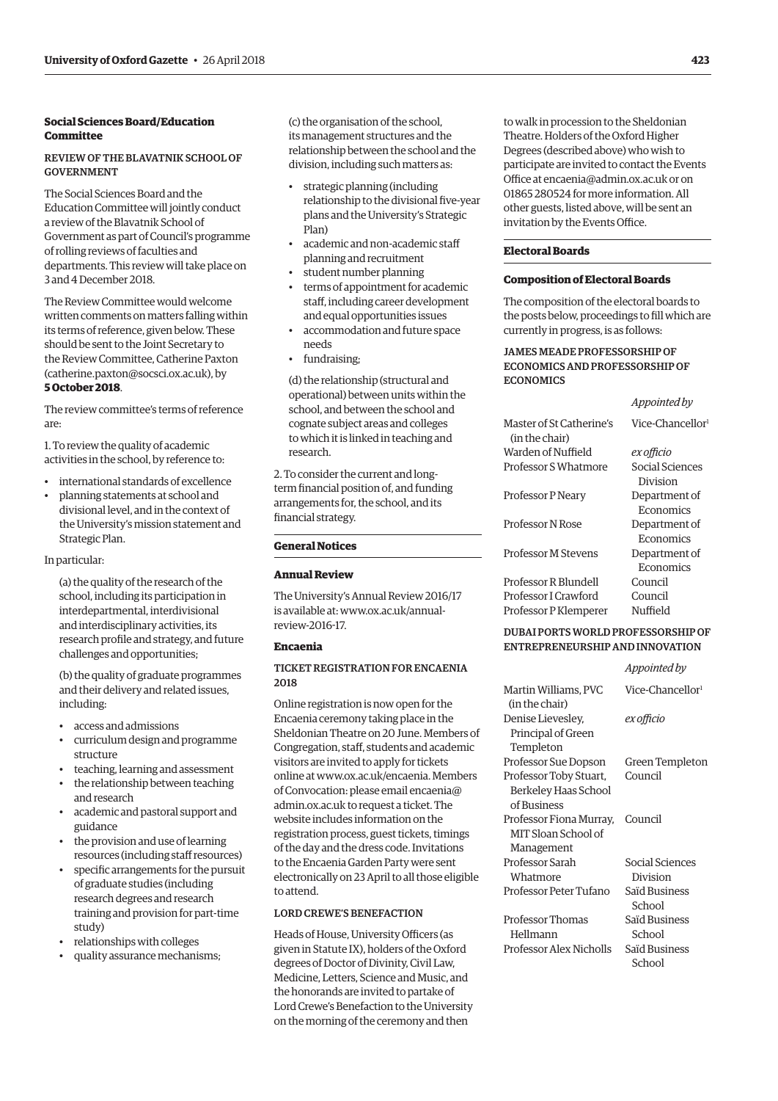# **Social Sciences Board/Education Committee**

# REVIEW OF THE BLAVATNIK SCHOOL OF GOVERNMENT

The Social Sciences Board and the Education Committee will jointly conduct a review of the Blavatnik School of Government as part of Council's programme of rolling reviews of faculties and departments. This review will take place on 3 and 4 December 2018.

The Review Committee would welcome written comments on matters falling within its terms of reference, given below. These should be sent to the Joint Secretary to the Review Committee, Catherine Paxton [\(catherine.paxton@socsci.ox.ac.uk\), by](mailto:catherine.paxton@socsci.ox.ac.uk) **5 October 2018**.

The review committee's terms of reference are:

1. To review the quality of academic activities in the school, by reference to:

- international standards of excellence
- planning statements at school and divisional level, and in the context of the University's mission statement and Strategic Plan.

In particular:

(a) the quality of the research of the school, including its participation in interdepartmental, interdivisional and interdisciplinary activities, its research profile and strategy, and future challenges and opportunities;

(b) the quality of graduate programmes and their delivery and related issues, including:

- access and admissions
- curriculum design and programme structure
- teaching, learning and assessment
- the relationship between teaching and research
- academic and pastoral support and guidance
- the provision and use of learning resources (including staff resources)
- specific arrangements for the pursuit of graduate studies (including research degrees and research training and provision for part-time study)
- relationships with colleges
- quality assurance mechanisms;

(c) the organisation of the school, its management structures and the relationship between the school and the division, including such matters as:

- strategic planning (including relationship to the divisional five-year plans and the University's Strategic Plan)
- academic and non-academic staff planning and recruitment
- student number planning
- terms of appointment for academic staff, including career development and equal opportunities issues
- accommodation and future space needs
- fundraising;

(d) the relationship (structural and operational) between units within the school, and between the school and cognate subject areas and colleges to which it is linked in teaching and research.

2. To consider the current and longterm financial position of, and funding arrangements for, the school, and its financial strategy.

# **General Notices**

# **Annual Review**

The University's Annual Review 2016/17 [is available at: www.ox.ac.uk/annual](http://www.ox.ac.uk/annual-review-2016-17)review-2016-17.

#### **Encaenia**

# TICKET REGISTRATION FOR ENCAENIA 2018

Online registration is now open for the Encaenia ceremony taking place in the Sheldonian Theatre on 20 June. Members of Congregation, staff, students and academic visitors are invited to apply for tickets online at [www.ox.ac.uk/encaenia. M](http://www.ox.ac.uk/encaenia)embers of Convocation: please email encaenia@ admin.ox.ac.uk to request a ticket. The website includes information on the registration process, guest tickets, timings of the day and the dress code. Invitations to the Encaenia Garden Party were sent electronically on 23 April to all those eligible to attend.

# LORD CREWE'S BENEFACTION

Heads of House, University Officers (as given in Statute IX), holders of the Oxford degrees of Doctor of Divinity, Civil Law, Medicine, Letters, Science and Music, and the honorands are invited to partake of Lord Crewe's Benefaction to the University on the morning of the ceremony and then

to walk in procession to the Sheldonian Theatre. Holders of the Oxford Higher Degrees (described above) who wish to participate are invited to contact the Events Office at [encaenia@admin.ox.ac.uk or](mailto:encaenia@admin.ox.ac.uk) on 01865 280524 for more information. All other guests, listed above, will be sent an invitation by the Events Office.

# **Electoral Boards**

# **Composition of Electoral Boards**

The composition of the electoral boards to the posts below, proceedings to fill which are currently in progress, is as follows:

*Appointed by*

# JAMES MEADE PROFESSORSHIP OF ECONOMICS AND PROFESSORSHIP OF **ECONOMICS**

| Master of St Catherine's<br>(in the chair) | Vice-Chancellor <sup>1</sup> |
|--------------------------------------------|------------------------------|
| Warden of Nuffield                         | ex officio                   |
| Professor S Whatmore                       | Social Sciences<br>Division  |
| Professor P Neary                          | Department of<br>Economics   |
| <b>Professor N Rose</b>                    | Department of<br>Economics   |
| <b>Professor M Stevens</b>                 | Department of<br>Economics   |
| Professor R Blundell                       | Council                      |
| Professor I Crawford                       | Council                      |
| Professor P Klemperer                      | Nuffield                     |
|                                            |                              |

# DUBAI PORTS WORLD PROFESSORSHIP OF ENTREPRENEURSHIP AND INNOVATION

|                         | Appointed by                 |
|-------------------------|------------------------------|
| Martin Williams, PVC    | Vice-Chancellor <sup>1</sup> |
| (in the chair)          |                              |
| Denise Lievesley,       | ex officio                   |
| Principal of Green      |                              |
| Templeton               |                              |
| Professor Sue Dopson    | Green Templeton              |
| Professor Toby Stuart,  | Council                      |
| Berkeley Haas School    |                              |
| of Business             |                              |
| Professor Fiona Murray, | Council                      |
| MIT Sloan School of     |                              |
| Management              |                              |
| Professor Sarah         | Social Sciences              |
| Whatmore                | Division                     |
| Professor Peter Tufano  | Saïd Business                |
|                         | School                       |
| Professor Thomas        | Saïd Business                |
| Hellmann                | School                       |
| Professor Alex Nicholls | Saïd Business                |
|                         | School                       |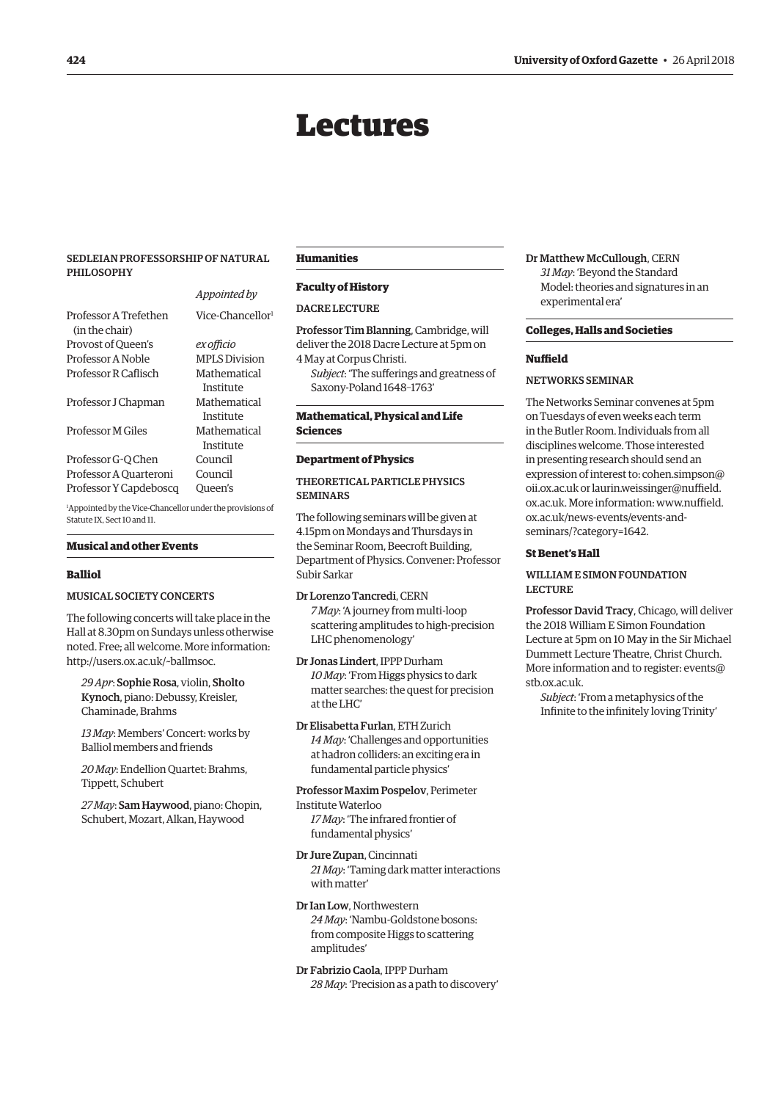# Lectures

# <span id="page-7-0"></span>SEDLEIAN PROFESSORSHIP OF NATURAL PHILOSOPHY

*Appointed by*

|                        | <i>Appointed by</i>          |
|------------------------|------------------------------|
| Professor A Trefethen  | Vice-Chancellor <sup>1</sup> |
| (in the chair)         |                              |
| Provost of Queen's     | ex officio                   |
| Professor A Noble      | <b>MPLS Division</b>         |
| Professor R Caflisch   | Mathematical                 |
|                        | Institute                    |
| Professor J Chapman    | Mathematical                 |
|                        | Institute                    |
| Professor M Giles      | Mathematical                 |
|                        | Institute                    |
| Professor G-Q Chen     | Council                      |
| Professor A Quarteroni | Council                      |
| Professor Y Capdeboscq | Oueen's                      |
| .                      | $\sim$ $\sim$ $\sim$         |

1 Appointed by the Vice-Chancellor under the provisions of Statute IX, Sect 10 and 11.

#### **Musical and other Events**

#### **Balliol**

# MUSICAL SOCIETY CONCERTS

The following concerts will take place in the Hall at 8.30pm on Sundays unless otherwise noted. Free; all welcome. More information: [http://users.ox.ac.uk/~ballmsoc.](http://users.ox.ac.uk/~ballmsoc)

*29 Apr*: Sophie Rosa, violin, Sholto Kynoch, piano: Debussy, Kreisler, Chaminade, Brahms

*13 May*: Members' Concert: works by Balliol members and friends

*20 May*: Endellion Quartet: Brahms, Tippett, Schubert

*27 May*: Sam Haywood, piano: Chopin, Schubert, Mozart, Alkan, Haywood

## **Humanities**

#### **Faculty of History**

#### **DACRE LECTURE**

Professor Tim Blanning, Cambridge, will deliver the 2018 Dacre Lecture at 5pm on 4 May at Corpus Christi.

*Subject*: 'The sufferings and greatness of Saxony-Poland 1648–1763'

#### **Mathematical, Physical and Life Sciences**

# **Department of Physics**

# THEORETICAL PARTICLE PHYSICS SEMINARS

The following seminars will be given at 4.15pm on Mondays and Thursdays in the Seminar Room, Beecroft Building, Department of Physics. Convener: Professor Subir Sarkar

Dr Lorenzo Tancredi, CERN *7 May*: 'A journey from multi-loop scattering amplitudes to high-precision LHC phenomenology'

Dr Jonas Lindert, IPPP Durham *10 May*: 'From Higgs physics to dark matter searches: the quest for precision at the LHC'

Dr Elisabetta Furlan, ETH Zurich *14 May*: 'Challenges and opportunities at hadron colliders: an exciting era in fundamental particle physics'

Professor Maxim Pospelov, Perimeter Institute Waterloo *17 May*: 'The infrared frontier of

fundamental physics'

Dr Jure Zupan, Cincinnati *21 May*: 'Taming dark matter interactions with matter'

Dr Ian Low, Northwestern *24 May*: 'Nambu-Goldstone bosons: from composite Higgs to scattering amplitudes'

Dr Fabrizio Caola, IPPP Durham *28 May*: 'Precision as a path to discovery' Dr Matthew McCullough, CERN *31 May*: 'Beyond the Standard Model: theories and signatures in an experimental era'

#### **Colleges, Halls and Societies**

#### **Nuffield**

## NETWORKS SEMINAR

The Networks Seminar convenes at 5pm on Tuesdays of even weeks each term in the Butler Room. Individuals from all disciplines welcome. Those interested in presenting research should send an expression of intere[st to: cohen.simpson@](mailto:cohen.simpson@oii.ox.ac.uk) oii.ox.ac.uk o[r laurin.weissinger@nuffield.](mailto:laurin.weissinger@nuffield.ox.ac.uk) ox.ac.uk[. More information: www.nuffield.](www.nuffield.ox.ac.uk/news-events/events-and-seminars/?category=1642) ox.ac.uk/news-events/events-andseminars/?category=1642.

# **St Benet's Hall**

# WILLIAM E SIMON FOUNDATION LECTURE

Professor David Tracy, Chicago, will deliver the 2018 William E Simon Foundation Lecture at 5pm on 10 May in the Sir Michael Dummett Lecture Theatre, Christ Church. [More information and to register: events@](mailto:events@stb.ox.ac.uk) stb.ox.ac.uk.

*Subject*: 'From a metaphysics of the Infinite to the infinitely loving Trinity'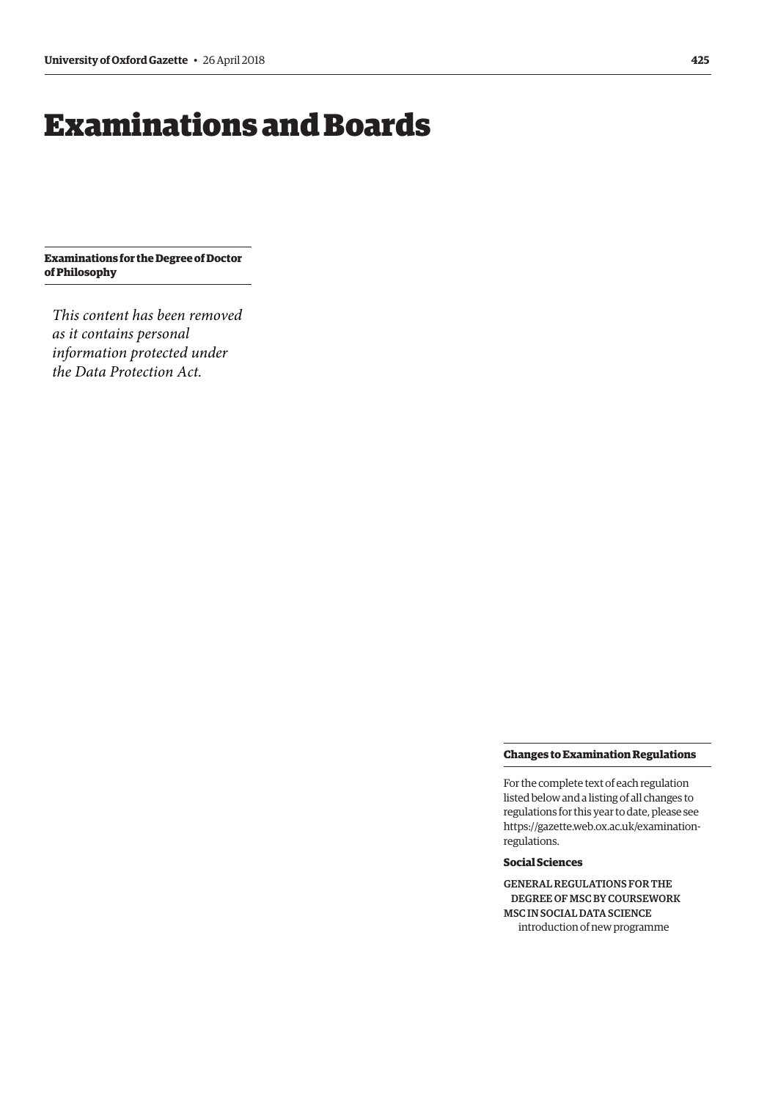# <span id="page-8-0"></span>Examinations and Boards

**Examinations for the Degree of Doctor of Philosophy**

*This content has been removed as it contains personal information protected under the Data Protection Act.*

#### **Changes to Examination Regulations**

For the complete text of each regulation listed below and a listing of all changes to regulations for this year to date, please see [https://gazette.web.ox.ac.uk/examination](https://gazette.web.ox.ac.uk/examination-regulations-0)regulations.

# **Social Sciences**

GENERAL REGULATIONS FOR THE DEGREE OF MSC BY COURSEWORK MSC IN SOCIAL DATA SCIENCE introduction of new programme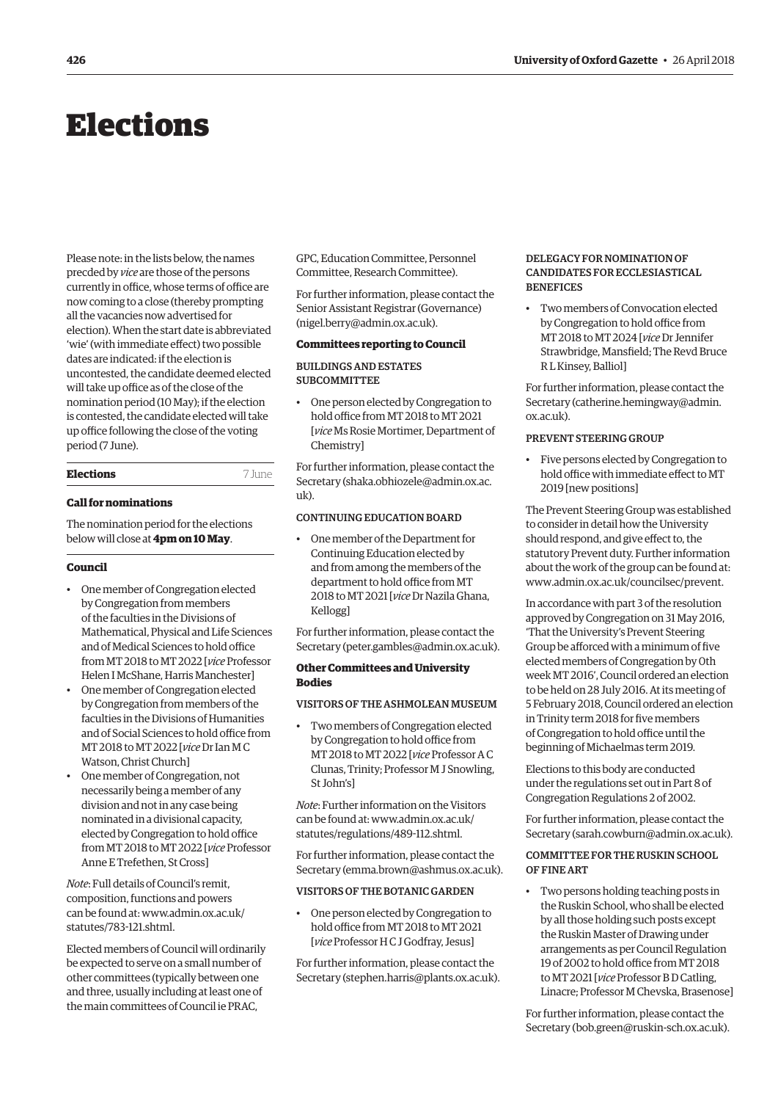# <span id="page-9-0"></span>Elections

Please note: in the lists below, the names precded by *vice* are those of the persons currently in office, whose terms of office are now coming to a close (thereby prompting all the vacancies now advertised for election). When the start date is abbreviated 'wie' (with immediate effect) two possible dates are indicated: if the election is uncontested, the candidate deemed elected will take up office as of the close of the nomination period (10 May); if the election is contested, the candidate elected will take up office following the close of the voting period (7 June).

# **Elections** 7 June

# **Call for nominations**

The nomination period for the elections below will close at **4pm on 10 May**.

#### **Council**

- One member of Congregation elected by Congregation from members of the faculties in the Divisions of Mathematical, Physical and Life Sciences and of Medical Sciences to hold office from MT 2018 to MT 2022 [*vice* Professor Helen I McShane, Harris Manchester]
- One member of Congregation elected by Congregation from members of the faculties in the Divisions of Humanities and of Social Sciences to hold office from MT 2018 to MT 2022 [*vice* Dr Ian M C Watson, Christ Church]
- One member of Congregation, not necessarily being a member of any division and not in any case being nominated in a divisional capacity, elected by Congregation to hold office from MT 2018 to MT 2022 [*vice* Professor Anne E Trefethen, St Cross]

*Note*: Full details of Council's remit, composition, functions and powers [can be found at: www.admin.ox.ac.uk/](http://www.admin.ox.ac.uk/) statutes/783-121.shtml.

Elected members of Council will ordinarily be expected to serve on a small number of other committees (typically between one and three, usually including at least one of the main committees of Council ie PRAC,

GPC, Education Committee, Personnel Committee, Research Committee).

For further information, please contact the Senior Assistant Registrar (Governance) [\(nigel.berry@admin.ox.ac.uk\).](mailto:nigel.berry@admin.ox.ac.uk)

# **Committees reporting to Council**

# BUILDINGS AND ESTATES SUBCOMMITTEE

• One person elected by Congregation to hold office from MT 2018 to MT 2021 [*vice* Ms Rosie Mortimer, Department of Chemistry]

For further information, please contact the Secretary ([shaka.obhiozele@admin.ox.ac.](mailto:shaka.obhiozele@admin.ox.ac.uk)  $11k$ 

# CONTINUING EDUCATION BOARD

• One member of the Department for Continuing Education elected by and from among the members of the department to hold office from MT 2018 to MT 2021 [*vice* Dr Nazila Ghana, Kellogg]

For further information, please contact the Secretary ([peter.gambles@admin.ox.ac.uk\).](mailto:peter.gambles@admin.ox.ac.uk)

# **Other Committees and University Bodies**

# VISITORS OF THE ASHMOLEAN MUSEUM

• Two members of Congregation elected by Congregation to hold office from MT 2018 to MT 2022 [*vice* Professor A C Clunas, Trinity; Professor M J Snowling, St John's]

*Note*: Further information on the Visitors [can be found at: www.admin.ox.ac.uk/](www.admin.ox.ac.uk/statutes/regulations/489-112.shtml) statutes/regulations/489-112.shtml.

For further information, please contact the Secretary ([emma.brown@ashmus.ox.ac.uk\).](mailto:emma.brown@ashmus.ox.ac.uk)

#### VISITORS OF THE BOTANIC GARDEN

• One person elected by Congregation to hold office from MT 2018 to MT 2021 [*vice* Professor H C J Godfray, Jesus]

For further information, please contact the Secretary ([stephen.harris@plants.ox.ac.uk\).](mailto:stephen.harris@plants.ox.ac.uk)

## DELEGACY FOR NOMINATION OF CANDIDATES FOR ECCLESIASTICAL **BENEFICES**

• Two members of Convocation elected by Congregation to hold office from MT 2018 to MT 2024 [*vice* Dr Jennifer Strawbridge, Mansfield; The Revd Bruce R L Kinsey, Balliol]

For further information, please contact the Secretary ([catherine.hemingway@admin.](mailto:catherine.hemingway@admin.ox.ac.uk) [ox.ac.uk\).](mailto:catherine.hemingway@admin.ox.ac.uk)

# PREVENT STEERING GROUP

• Five persons elected by Congregation to hold office with immediate effect to MT 2019 [new positions]

The Prevent Steering Group was established to consider in detail how the University should respond, and give effect to, the statutory Prevent duty. Further information about the work of the group can be found at: [www.admin.ox.ac.uk/councilsec/prevent](http://www.admin.ox.ac.uk/councilsec/prevent/).

In accordance with part 3 of the resolution approved by Congregation on 31 May 2016, 'That the University's Prevent Steering Group be afforced with a minimum of five elected members of Congregation by 0th week MT 2016', Council ordered an election to be held on 28 July 2016. At its meeting of 5 February 2018, Council ordered an election in Trinity term 2018 for five members of Congregation to hold office until the beginning of Michaelmas term 2019.

Elections to this body are conducted under the regulations set out in Part 8 of Congregation Regulations 2 of 2002.

For further information, please contact the Secretary ([sarah.cowburn@admin.ox.ac.uk\).](mailto:sarah.cowburn@admin.ox.ac.uk)

# COMMITTEE FOR THE RUSKIN SCHOOL OF FINE ART

• Two persons holding teaching posts in the Ruskin School, who shall be elected by all those holding such posts except the Ruskin Master of Drawing under arrangements as per Council Regulation 19 of 2002 to hold office from MT 2018 to MT 2021 [*vice* Professor B D Catling, Linacre; Professor M Chevska, Brasenose]

For further information, please contact the Secretary ([bob.green@ruskin-sch.ox.ac.uk\).](mailto:bob.green@ruskin-sch.ox.ac.uk)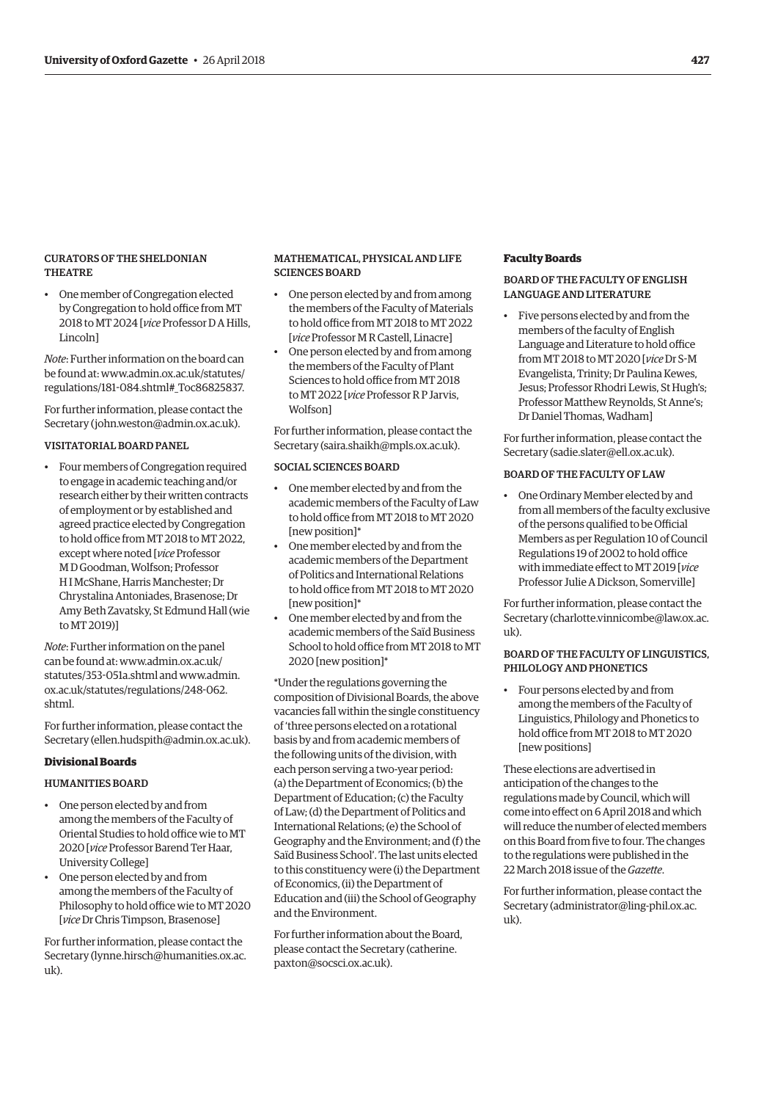# CURATORS OF THE SHELDONIAN **THEATRE**

• One member of Congregation elected by Congregation to hold office from MT 2018 to MT 2024 [*vice* Professor D A Hills, Lincoln]

*Note*: Further information on the board can [be found at: www.admin.ox.ac.uk/statutes/](http://www.admin.ox.ac.uk/statutes/) regulations/181-084.shtml#\_Toc86825837.

For further information, please contact the Secretary ([john.weston@admin.ox.ac.uk\).](mailto:john.weston@admin.ox.ac.uk)

# VISITATORIAL BOARD PANEL

• Four members of Congregation required to engage in academic teaching and/or research either by their written contracts of employment or by established and agreed practice elected by Congregation to hold office from MT 2018 to MT 2022, except where noted [*vice* Professor M D Goodman, Wolfson; Professor H I McShane, Harris Manchester; Dr Chrystalina Antoniades, Brasenose; Dr Amy Beth Zavatsky, St Edmund Hall (wie to MT 2019)]

*Note*: Further information on the panel [can be found at: www.adm](www.admin.ox.ac.uk/statutes/353-051a.shtml)in.ox.ac.uk/ statutes/353-051a.shtml a[nd www.admin.](www.admin.ox.ac.uk/statutes/regulations/248-062.shtml) ox.ac.uk/statutes/regulations/248-062. shtml.

For further information, please contact the Secretary [\(ellen.hudspith@admin.ox.ac.uk\).](mailto:ellen.hudspith@admin.ox.ac.uk)

#### **Divisional Boards**

#### HUMANITIES BOARD

- One person elected by and from among the members of the Faculty of Oriental Studies to hold office wie to MT 2020 [*vice* Professor Barend Ter Haar, University College]
- One person elected by and from among the members of the Faculty of Philosophy to hold office wie to MT 2020 [*vice* Dr Chris Timpson, Brasenose]

For further information, please contact the Secretary [\(lynne.hirsch@humanities.ox.ac.](mailto:lynne.hirsch@humanities.ox.ac.uk) [uk\).](mailto:lynne.hirsch@humanities.ox.ac.uk)

# MATHEMATICAL, PHYSICAL AND LIFE SCIENCES BOARD

- One person elected by and from among the members of the Faculty of Materials to hold office from MT 2018 to MT 2022 [*vice* Professor M R Castell, Linacre]
- One person elected by and from among the members of the Faculty of Plant Sciences to hold office from MT 2018 to MT 2022 [*vice* Professor R P Jarvis, Wolfson]

For further information, please contact the Secretary ([saira.shaikh@mpls.ox.ac.uk\).](mailto:saira.shaikh@mpls.ox.ac.uk)

# SOCIAL SCIENCES BOARD

- One member elected by and from the academic members of the Faculty of Law to hold office from MT 2018 to MT 2020 [new position]\*
- One member elected by and from the academic members of the Department of Politics and International Relations to hold office from MT 2018 to MT 2020 [new position]\*
- One member elected by and from the academic members of the Saïd Business School to hold office from MT 2018 to MT 2020 [new position]\*

\*Under the regulations governing the composition of Divisional Boards, the above vacancies fall within the single constituency of 'three persons elected on a rotational basis by and from academic members of the following units of the division, with each person serving a two-year period: (a) the Department of Economics; (b) the Department of Education; (c) the Faculty of Law; (d) the Department of Politics and International Relations; (e) the School of Geography and the Environment; and (f) the Saïd Business School'. The last units elected to this constituency were (i) the Department of Economics, (ii) the Department of Education and (iii) the School of Geography and the Environment.

For further information about the Board, [please contact the Secretary \(catherine.](mailto:paxton@socsci.ox.ac.uk) paxton@socsci.ox.ac.uk).

# **Faculty Boards**

# BOARD OF THE FACULTY OF ENGLISH LANGUAGE AND LITERATURE

• Five persons elected by and from the members of the faculty of English Language and Literature to hold office from MT 2018 to MT 2020 [*vice* Dr S-M Evangelista, Trinity; Dr Paulina Kewes, Jesus; Professor Rhodri Lewis, St Hugh's; Professor Matthew Reynolds, St Anne's; Dr Daniel Thomas, Wadham]

For further information, please contact the Secretary ([sadie.slater@ell.ox.ac.uk\).](mailto:sadie.slater@ell.ox.ac.uk)

# BOARD OF THE FACULTY OF LAW

• One Ordinary Member elected by and from all members of the faculty exclusive of the persons qualified to be Official Members as per Regulation 10 of Council Regulations 19 of 2002 to hold office with immediate effect to MT 2019 [*vice* Professor Julie A Dickson, Somerville]

For further information, please contact the Secretary ([charlotte.vinnicombe@law.ox.ac.](mailto:charlotte.vinnicombe@law.ox.ac.uk)  $11k$ 

# BOARD OF THE FACULTY OF LINGUISTICS, PHILOLOGY AND PHONETICS

• Four persons elected by and from among the members of the Faculty of Linguistics, Philology and Phonetics to hold office from MT 2018 to MT 2020 [new positions]

These elections are advertised in anticipation of the changes to the regulations made by Council, which will come into effect on 6 April 2018 and which will reduce the number of elected members on this Board from five to four. The changes to the regulations were published in the 22 March 2018 issue of the *Gazette*.

For further information, please contact the Secretary ([administrator@ling-phil.ox.ac.](mailto:administrator@ling-phil.ox.ac.uk)  $_{11}k$ ).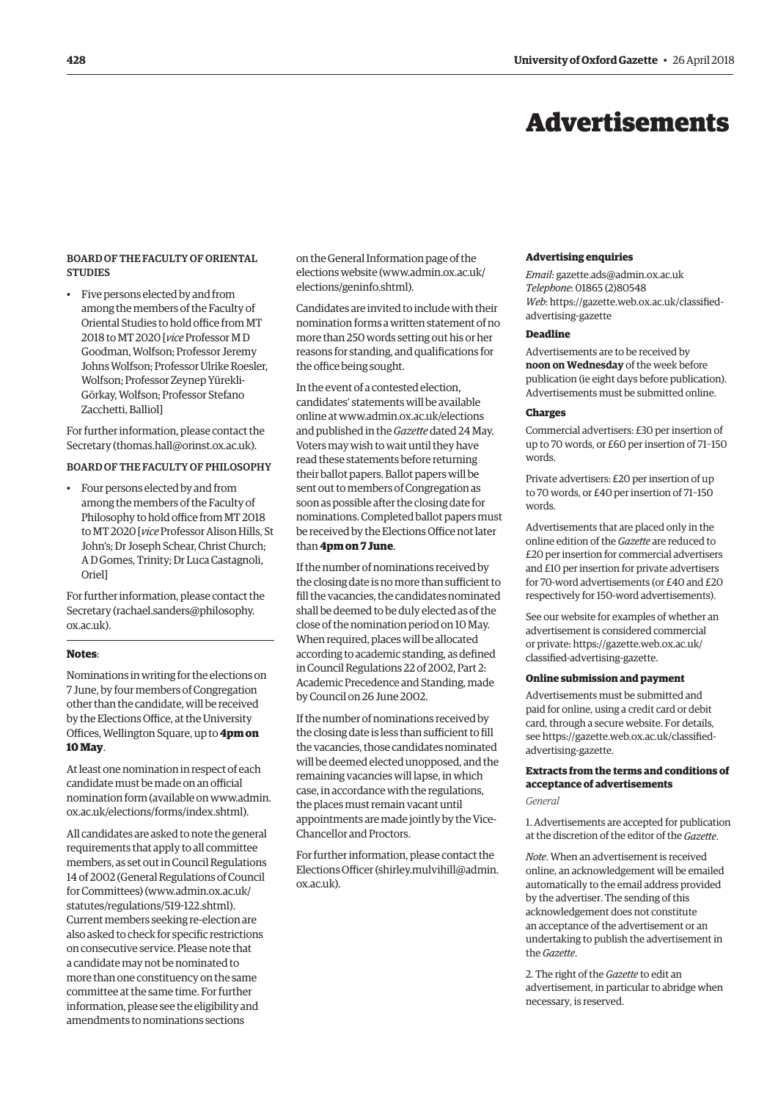# Advertisements

# <span id="page-11-0"></span>BOARD OF THE FACULTY OF ORIENTAL **STUDIES**

• Five persons elected by and from among the members of the Faculty of Oriental Studies to hold office from MT 2018 to MT 2020 [*vice* Professor M D Goodman, Wolfson; Professor Jeremy Johns Wolfson; Professor Ulrike Roesler, Wolfson; Professor Zeynep Yürekli-Görkay, Wolfson; Professor Stefano Zacchetti, Balliol]

For further information, please contact the Secretary [\(thomas.hall@orinst.ox.ac.uk\).](mailto:thomas.hall@orinst.ox.ac.uk)

# BOARD OF THE FACULTY OF PHILOSOPHY

• Four persons elected by and from among the members of the Faculty of Philosophy to hold office from MT 2018 to MT 2020 [*vice* Professor Alison Hills, St John's; Dr Joseph Schear, Christ Church; A D Gomes, Trinity; Dr Luca Castagnoli, Oriel]

For further information, please contact the Secretary [\(rachael.sanders@philosophy.](mailto:rachael.sanders@philosophy.ox.ac.uk) [ox.ac.uk\).](mailto:rachael.sanders@philosophy.ox.ac.uk)

# **Notes**:

Nominations in writing for the elections on 7 June, by four members of Congregation other than the candidate, will be received by the Elections Office, at the University Offices, Wellington Square, up to **4pm on 10 May**.

At least one nomination in respect of each candidate must be made on an official [nomination form \(available on www.admin.](http://www.admin.ox.ac.uk/elections/forms/index.shtml) ox.ac.uk/elections/forms/index.shtml).

All candidates are asked to note the general requirements that apply to all committee members, as set out in Council Regulations 14 of 2002 (General Regulations of Council for Committees) [\(www.admin.ox.ac.uk/](http://www.admin.ox.ac.uk/statutes/regulations/519-122.shtml) [statutes/regulations/519-122.shtml\).](http://www.admin.ox.ac.uk/statutes/regulations/519-122.shtml)  Current members seeking re-election are also asked to check for specific restrictions on consecutive service. Please note that a candidate may not be nominated to more than one constituency on the same committee at the same time. For further information, please see the eligibility and amendments to nominations sections

on the General Information page of the elections website ([www.admin.ox.ac.uk/](http://www.admin.ox.ac.uk/elections/geninfo.shtml) [elections/geninfo.shtml\).](http://www.admin.ox.ac.uk/elections/geninfo.shtml)

Candidates are invited to include with their nomination forms a written statement of no more than 250 words setting out his or her reasons for standing, and qualifications for the office being sought.

In the event of a contested election, candidates' statements will be available online at [www.admin.ox.ac.uk/elections](http://www.admin.ox.ac.uk/elections)  and published in the *Gazette* dated 24 May. Voters may wish to wait until they have read these statements before returning their ballot papers. Ballot papers will be sent out to members of Congregation as soon as possible after the closing date for nominations. Completed ballot papers must be received by the Elections Office not later than **4pm on 7 June**.

If the number of nominations received by the closing date is no more than sufficient to fill the vacancies, the candidates nominated shall be deemed to be duly elected as of the close of the nomination period on 10 May. When required, places will be allocated according to academic standing, as defined in Council Regulations 22 of 2002, Part 2: Academic Precedence and Standing, made by Council on 26 June 2002.

If the number of nominations received by the closing date is less than sufficient to fill the vacancies, those candidates nominated will be deemed elected unopposed, and the remaining vacancies will lapse, in which case, in accordance with the regulations, the places must remain vacant until appointments are made jointly by the Vice-Chancellor and Proctors.

For further information, please contact the Elections Officer ([shirley.mulvihill@admin.](mailto:shirley.mulvihill@admin.ox.ac.uk) [ox.ac.uk\).](mailto:shirley.mulvihill@admin.ox.ac.uk)

#### **Advertising enquiries**

*Email*: [gazette.ads@admin.ox.ac.uk](mailto:gazette.ads@admin.ox.ac.uk) *Telephone*: 01865 (2)80548 *Web*[: https://gazette.web.ox.ac.uk/classified](https://gazette.web.ox.ac.uk/classified-advertising-gazette)advertising-gazette

# **Deadline**

Advertisements are to be received by **noon on Wednesday** of the week before publication (ie eight days before publication). Advertisements must be submitted online.

#### **Charges**

Commercial advertisers: £30 per insertion of up to 70 words, or £60 per insertion of 71–150 words.

Private advertisers: £20 per insertion of up to 70 words, or £40 per insertion of 71–150 words.

Advertisements that are placed only in the online edition of the *Gazette* are reduced to £20 per insertion for commercial advertisers and £10 per insertion for private advertisers for 70-word advertisements (or £40 and £20 respectively for 150-word advertisements).

See our website for examples of whether an advertisement is considered commercial or private: <https://gazette.web.ox.ac.uk/> classified-advertising-gazette.

# **Online submission and payment**

Advertisements must be submitted and paid for online, using a credit card or debit card, through a secure website. For details, [see https://gazette.web.ox.ac.uk/classified](https://gazette.web.ox.ac.uk/classified-advertising-gazette)advertising-gazette.

# **Extracts from the terms and conditions of acceptance of advertisements**

*General*

1. Advertisements are accepted for publication at the discretion of the editor of the *Gazette*.

*Note*. When an advertisement is received online, an acknowledgement will be emailed automatically to the email address provided by the advertiser. The sending of this acknowledgement does not constitute an acceptance of the advertisement or an undertaking to publish the advertisement in the *Gazette*.

2. The right of the *Gazette* to edit an advertisement, in particular to abridge when necessary, is reserved.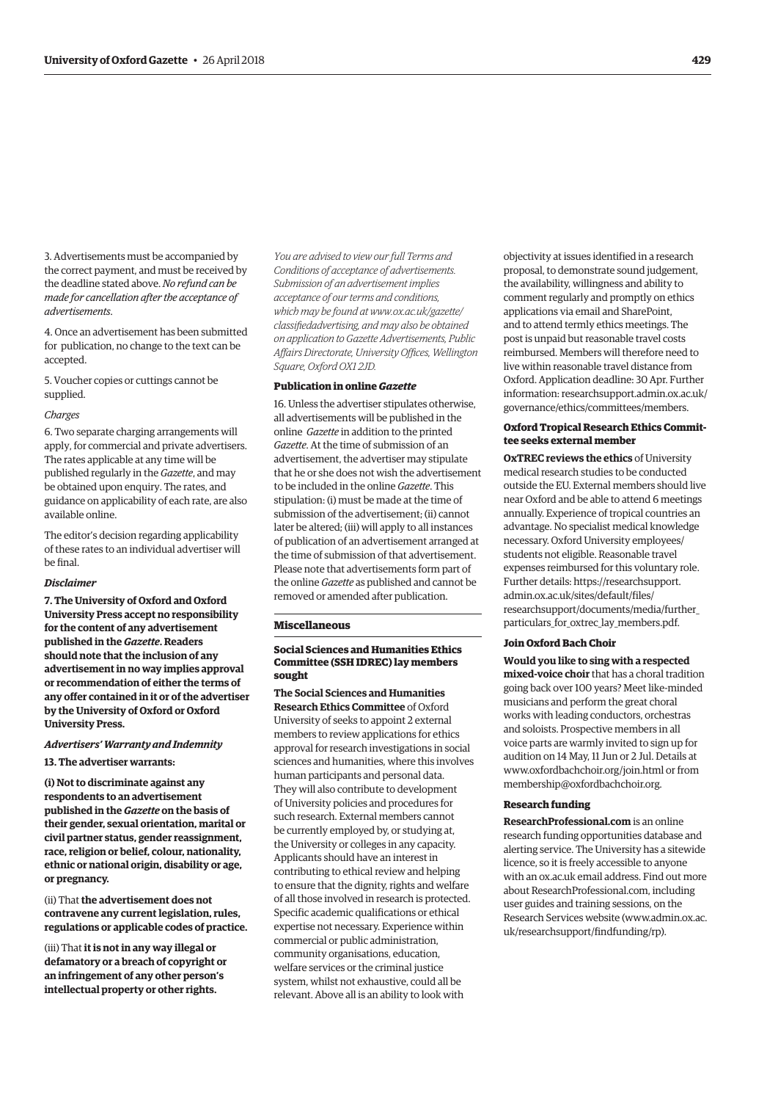3. Advertisements must be accompanied by the correct payment, and must be received by the deadline stated above. *No refund can be made for cancellation after the acceptance of advertisements*.

4. Once an advertisement has been submitted for publication, no change to the text can be accepted.

5. Voucher copies or cuttings cannot be supplied.

#### *Charges*

6. Two separate charging arrangements will apply, for commercial and private advertisers. The rates applicable at any time will be published regularly in the *Gazette*, and may be obtained upon enquiry. The rates, and guidance on applicability of each rate, are also available online.

The editor's decision regarding applicability of these rates to an individual advertiser will be final.

#### *Disclaimer*

**7. The University of Oxford and Oxford University Press accept no responsibility for the content of any advertisement published in the** *Gazette***. Readers should note that the inclusion of any advertisement in no way implies approval or recommendation of either the terms of any offer contained in it or of the advertiser by the University of Oxford or Oxford University Press.**

# *Advertisers' Warranty and Indemnity*

**13. The advertiser warrants:**

**(i) Not to discriminate against any respondents to an advertisement published in the** *Gazette* **on the basis of their gender, sexual orientation, marital or civil partner status, gender reassignment, race, religion or belief, colour, nationality, ethnic or national origin, disability or age, or pregnancy.**

(ii) That **the advertisement does not contravene any current legislation, rules, regulations or applicable codes of practice.** 

(iii) That **it is not in any way illegal or defamatory or a breach of copyright or an infringement of any other person's intellectual property or other rights.** 

*You are advised to view our full Terms and Conditions of acceptance of advertisements. Submission of an advertisement implies acceptance of our terms and conditions, which may be found at www.ox.ac.uk/gazette/ [classifiedadvertising, and may also be obtained](http://www.ox.ac.uk/gazette/)  on application to Gazette Advertisements, Public Affairs Directorate, University Offices, Wellington Square, Oxford OX1 2JD.*

#### **Publication in online** *Gazette*

16. Unless the advertiser stipulates otherwise, all advertisements will be published in the online *Gazette* in addition to the printed *Gazette*. At the time of submission of an advertisement, the advertiser may stipulate that he or she does not wish the advertisement to be included in the online *Gazette*. This stipulation: (i) must be made at the time of submission of the advertisement; (ii) cannot later be altered; (iii) will apply to all instances of publication of an advertisement arranged at the time of submission of that advertisement. Please note that advertisements form part of the online *Gazette* as published and cannot be removed or amended after publication.

#### **Miscellaneous**

# **Social Sciences and Humanities Ethics Committee (SSH IDREC) lay members sought**

**The Social Sciences and Humanities Research Ethics Committee** of Oxford University of seeks to appoint 2 external members to review applications for ethics approval for research investigations in social sciences and humanities, where this involves human participants and personal data. They will also contribute to development of University policies and procedures for such research. External members cannot be currently employed by, or studying at, the University or colleges in any capacity. Applicants should have an interest in contributing to ethical review and helping to ensure that the dignity, rights and welfare of all those involved in research is protected. Specific academic qualifications or ethical expertise not necessary. Experience within commercial or public administration, community organisations, education, welfare services or the criminal justice system, whilst not exhaustive, could all be relevant. Above all is an ability to look with

objectivity at issues identified in a research proposal, to demonstrate sound judgement, the availability, willingness and ability to comment regularly and promptly on ethics applications via email and SharePoint, and to attend termly ethics meetings. The post is unpaid but reasonable travel costs reimbursed. Members will therefore need to live within reasonable travel distance from Oxford. Application deadline: 30 Apr. Further [information: researchsupport.admin.ox.ac.uk/](https://researchsupport.admin.ox.ac.uk/governance/ethics/committees/members) governance/ethics/committees/members.

# **Oxford Tropical Research Ethics Committee seeks external member**

**OxTREC reviews the ethics** of University medical research studies to be conducted outside the EU. External members should live near Oxford and be able to attend 6 meetings annually. Experience of tropical countries an advantage. No specialist medical knowledge necessary. Oxford University employees/ students not eligible. Reasonable travel expenses reimbursed for this voluntary role. Further details: https://researchsupport. admin.ox.ac.uk/sites/default/files/ [researchsupport/documents/media/further\\_](https://researchsupport.admin.ox.ac.uk/sites/default/files/researchsupport/documents/media/further_particulars_for_oxtrec_lay_members.pdf) particulars\_for\_oxtrec\_lay\_members.pdf.

# **Join Oxford Bach Choir**

**Would you like to sing with a respected mixed-voice choir** that has a choral tradition going back over 100 years? Meet like-minded musicians and perform the great choral works with leading conductors, orchestras and soloists. Prospective members in all voice parts are warmly invited to sign up for audition on 14 May, 11 Jun or 2 Jul. Details at [www.oxfordbachchoir.org/join.html or](http://www.oxfordbachchoir.org/join.html) from [membership@oxfordbachchoir.org.](mailto:membership@oxfordbachchoir.org)

#### **Research funding**

**ResearchProfessional.com** is an online research funding opportunities database and alerting service. The University has a sitewide licence, so it is freely accessible to anyone with an ox.ac.uk email address. Find out more about ResearchProfessional.com, including user guides and training sessions, on the Research Services website [\(www.admin.ox.ac.](http://www.admin.ox.ac.uk/researchsupport/findfunding/rp) [uk/researchsupport/findfunding/rp\).](http://www.admin.ox.ac.uk/researchsupport/findfunding/rp)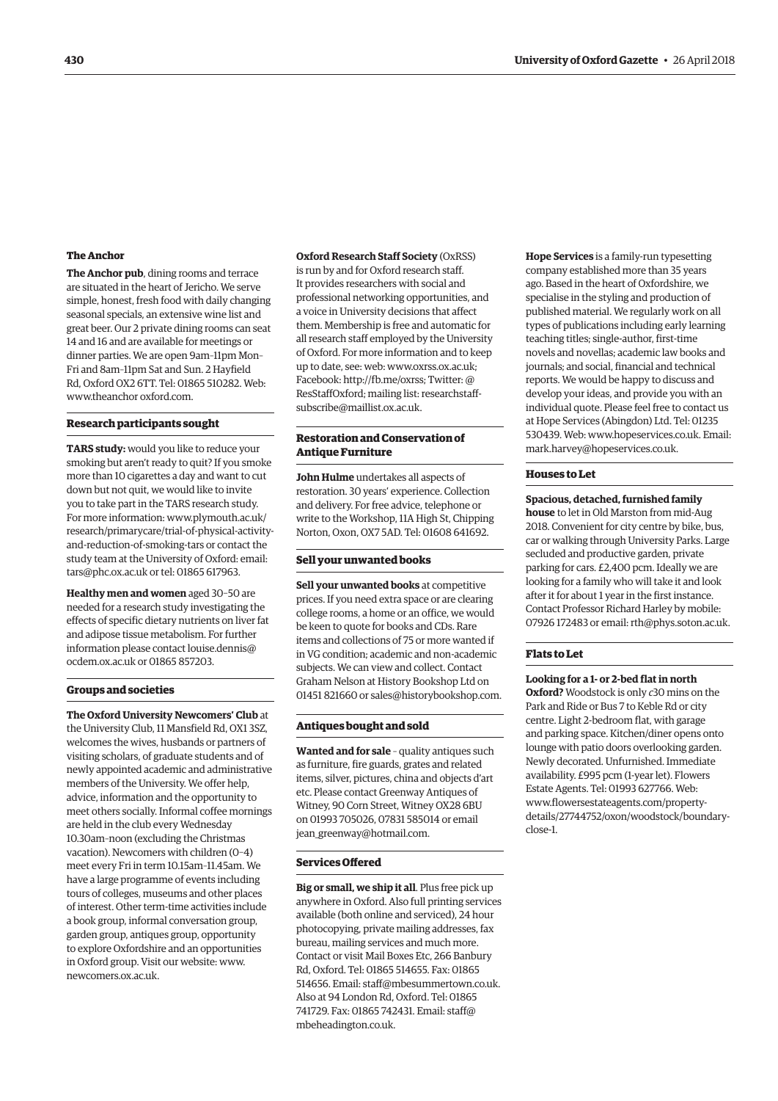#### **The Anchor**

**The Anchor pub**, dining rooms and terrace are situated in the heart of Jericho. We serve simple, honest, fresh food with daily changing seasonal specials, an extensive wine list and great beer. Our 2 private dining rooms can seat 14 and 16 and are available for meetings or dinner parties. We are open 9am–11pm Mon– Fri and 8am–11pm Sat and Sun. 2 Hayfield Rd, Oxford OX2 6TT. Tel: 01865 510282. Web: [www.theanchor oxford.com.](http://www.theanchoroxford.com/)

#### **Research participants sought**

**TARS study:** would you like to reduce your smoking but aren't ready to quit? If you smoke more than 10 cigarettes a day and want to cut down but not quit, we would like to invite you to take part in the TARS research study. For more information: [www.plymouth.ac.uk/](http://www.plymouth.ac.uk/) research/primarycare/trial-of-physical-activityand-reduction-of-smoking-tars or contact the study team at the University of Oxford: email: [tars@phc.ox.ac.uk or](mailto:tars@phc.ox.ac.uk) tel: 01865 617963.

**Healthy men and women** aged 30–50 are needed for a research study investigating the effects of specific dietary nutrients on liver fat and adipose tissue metabolism. For further [information please contact louise.dennis@](mailto:louise.dennis@ocdem.ox.ac.uk) ocdem.ox.ac.uk or 01865 857203.

#### **Groups and societies**

**The Oxford University Newcomers' Club** at the University Club, 11 Mansfield Rd, OX1 3SZ, welcomes the wives, husbands or partners of visiting scholars, of graduate students and of newly appointed academic and administrative members of the University. We offer help, advice, information and the opportunity to meet others socially. Informal coffee mornings are held in the club every Wednesday 10.30am–noon (excluding the Christmas vacation). Newcomers with children (0–4) meet every Fri in term 10.15am–11.45am. We have a large programme of events including tours of colleges, museums and other places of interest. Other term-time activities include a book group, informal conversation group, garden group, antiques group, opportunity to explore Oxfordshire and an opportunities in Oxford group. Visit our website: [www.](http://www.newcomers.ox.ac.uk) [newcomers.ox.ac.uk.](http://www.newcomers.ox.ac.uk) 

**Oxford Research Staff Society** (OxRSS)

is run by and for Oxford research staff. It provides researchers with social and professional networking opportunities, and a voice in University decisions that affect them. Membership is free and automatic for all research staff employed by the University of Oxford. For more information and to keep up to date, see: web: [www.oxrss.ox.ac.uk;](http://www.oxrss.ox.ac.uk)  Facebook: [http://fb.me/oxrss; Tw](http://fb.me/oxrss)itter: @ [ResStaffOxford; mailing list: researchstaff](mailto:researchstaff-subscribe@maillist.ox.ac.uk)subscribe@maillist.ox.ac.uk.

# **Restoration and Conservation of Antique Furniture**

**John Hulme** undertakes all aspects of restoration. 30 years' experience. Collection and delivery. For free advice, telephone or write to the Workshop, 11A High St, Chipping Norton, Oxon, OX7 5AD. Tel: 01608 641692.

#### **Sell your unwanted books**

**Sell your unwanted books** at competitive prices. If you need extra space or are clearing college rooms, a home or an office, we would be keen to quote for books and CDs. Rare items and collections of 75 or more wanted if in VG condition; academic and non-academic subjects. We can view and collect. Contact Graham Nelson at History Bookshop Ltd on 01451 821660 or [sales@historybookshop.com.](mailto:sales@historybookshop.com)

#### **Antiques bought and sold**

**Wanted and for sale** – quality antiques such as furniture, fire guards, grates and related items, silver, pictures, china and objects d'art etc. Please contact Greenway Antiques of Witney, 90 Corn Street, Witney OX28 6BU on 01993 705026, 07831 585014 or email [jean\\_greenway@hotmail.com.](mailto:jean_greenway@hotmail.com)

#### **Services Offered**

**Big or small, we ship it all**. Plus free pick up anywhere in Oxford. Also full printing services available (both online and serviced), 24 hour photocopying, private mailing addresses, fax bureau, mailing services and much more. Contact or visit Mail Boxes Etc, 266 Banbury Rd, Oxford. Tel: 01865 514655. Fax: 01865 514656. Email: [staff@mbesummertown.co.uk.](mailto:staff@mbesummertown.co.uk)  Also at 94 London Rd, Oxford. Tel: 01865 [741729. Fax: 01865 742431. Email: staff@](mailto:staff@mbeheadington.co.uk) mbeheadington.co.uk.

**Hope Services** is a family-run typesetting company established more than 35 years ago. Based in the heart of Oxfordshire, we specialise in the styling and production of published material. We regularly work on all types of publications including early learning teaching titles; single-author, first-time novels and novellas; academic law books and journals; and social, financial and technical reports. We would be happy to discuss and develop your ideas, and provide you with an individual quote. Please feel free to contact us at Hope Services (Abingdon) Ltd. Tel: 01235 530439. Web: [www.hopeservices.co.uk. Em](http://www.hopeservices.co.uk)ail: [mark.harvey@hopeservices.co.uk.](mailto:mark.harvey@hopeservices.co.uk)

#### **Houses to Let**

**Spacious, detached, furnished family house** to let in Old Marston from mid-Aug 2018. Convenient for city centre by bike, bus, car or walking through University Parks. Large secluded and productive garden, private parking for cars. £2,400 pcm. Ideally we are looking for a family who will take it and look after it for about 1 year in the first instance. Contact Professor Richard Harley by mobile: 07926 172483 or email: [rth@phys.soton.ac.uk.](mailto:rth@phys.soton.ac.uk)

#### **Flats to Let**

#### **Looking for a 1- or 2-bed flat in north**

**Oxford?** Woodstock is only *c*30 mins on the Park and Ride or Bus 7 to Keble Rd or city centre. Light 2-bedroom flat, with garage and parking space. Kitchen/diner opens onto lounge with patio doors overlooking garden. Newly decorated. Unfurnished. Immediate availability. £995 pcm (1-year let). Flowers Estate Agents. Tel: 01993 627766. Web: www.flowersestateagents.com/property[details/27744752/oxon/woodstock/bounda](http://www.flowersestateagents.com/property-details/27744752/oxon/woodstock/boundary-close-1)ryclose-1.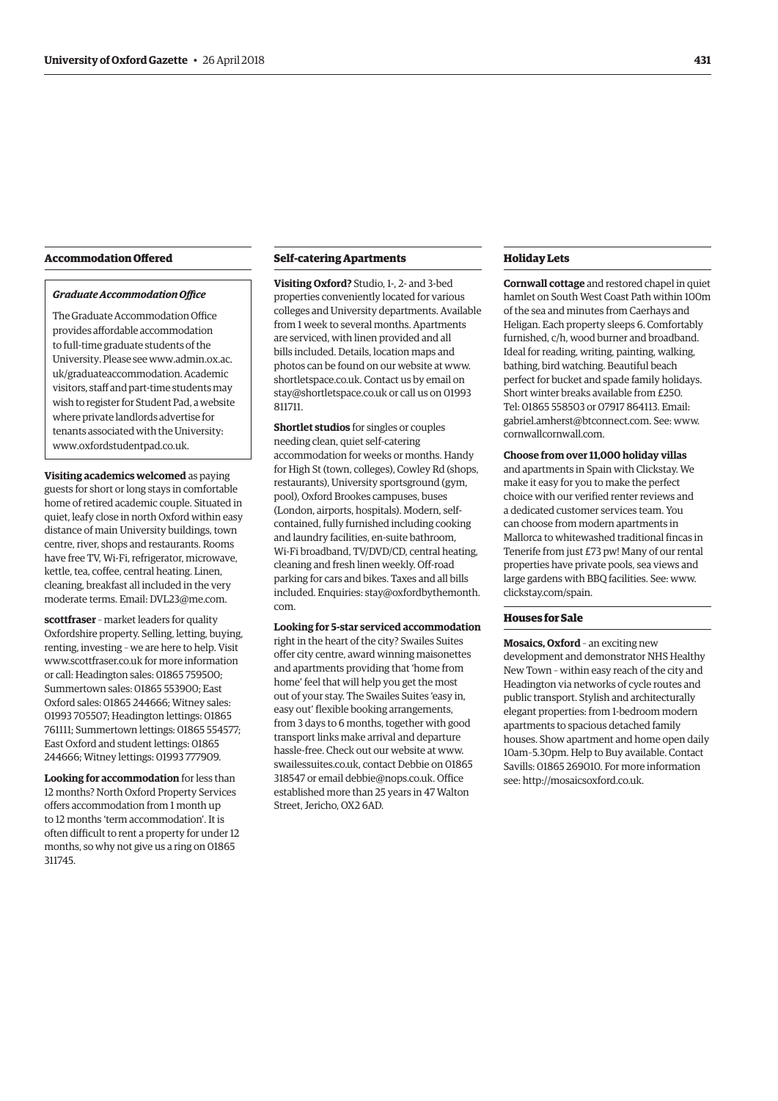# **Accommodation Offered**

# *Graduate Accommodation Office*

The Graduate Accommodation Office provides affordable accommodation to full-time graduate students of the [University. Please see www.admin.ox.ac.](http://www.admin.ox.ac) uk/graduateaccommodation. Academic visitors, staff and part-time students may wish to register for Student Pad, a website where private landlords advertise for tenants associated with the University: [www.oxfordstudentpad.co.uk.](http://www.oxfordstudentpad.co.uk)

**Visiting academics welcomed** as paying guests for short or long stays in comfortable home of retired academic couple. Situated in quiet, leafy close in north Oxford within easy distance of main University buildings, town centre, river, shops and restaurants. Rooms have free TV, Wi-Fi, refrigerator, microwave, kettle, tea, coffee, central heating. Linen, cleaning, breakfast all included in the very moderate terms. Email: [DVL23@me.com.](mailto:DVL23@me.com)

**scottfraser** – market leaders for quality Oxfordshire property. Selling, letting, buying, renting, investing – we are here to help. Visit [www.scottfraser.co.uk fo](http://www.scottfraser.co.uk)r more information or call: Headington sales: 01865 759500; Summertown sales: 01865 553900; East Oxford sales: 01865 244666; Witney sales: 01993 705507; Headington lettings: 01865 761111; Summertown lettings: 01865 554577; East Oxford and student lettings: 01865 244666; Witney lettings: 01993 777909.

**Looking for accommodation** for less than 12 months? North Oxford Property Services offers accommodation from 1 month up to 12 months 'term accommodation'. It is often difficult to rent a property for under 12 months, so why not give us a ring on 01865 311745.

#### **Self-catering Apartments**

**Visiting Oxford?** Studio, 1-, 2- and 3-hed properties conveniently located for various colleges and University departments. Available from 1 week to several months. Apartments are serviced, with linen provided and all bills included. Details, location maps and photos can be found on our website at [www.](http://www.shortletspace.co.uk) [shortletspace.co.uk. Co](http://www.shortletspace.co.uk)ntact us by email on [stay@shortletspace.co.uk or](mailto:stay@shortletspace.co.uk) call us on 01993 811711.

**Shortlet studios** for singles or couples needing clean, quiet self-catering accommodation for weeks or months. Handy for High St (town, colleges), Cowley Rd (shops, restaurants), University sportsground (gym, pool), Oxford Brookes campuses, buses (London, airports, hospitals). Modern, selfcontained, fully furnished including cooking and laundry facilities, en-suite bathroom, Wi-Fi broadband, TV/DVD/CD, central heating, cleaning and fresh linen weekly. Off-road parking for cars and bikes. Taxes and all bills [included. Enquiries: stay@oxfordbythemonth.](mailto:stay@oxfordbythemonth.com) com.

#### **Looking for 5-star serviced accommodation**

right in the heart of the city? Swailes Suites offer city centre, award winning maisonettes and apartments providing that 'home from home' feel that will help you get the most out of your stay. The Swailes Suites 'easy in, easy out' flexible booking arrangements, from 3 days to 6 months, together with good transport links make arrival and departure hassle-free. Check out our website at [www.](http://www.swailessuites.co.uk) [swailessuites.co.uk, co](http://www.swailessuites.co.uk)ntact Debbie on 01865 318547 or email [debbie@nops.co.uk. Of](mailto:debbie@nops.co.uk)fice established more than 25 years in 47 Walton Street, Jericho, OX2 6AD.

# **Holiday Lets**

**Cornwall cottage** and restored chapel in quiet hamlet on South West Coast Path within 100m of the sea and minutes from Caerhays and Heligan. Each property sleeps 6. Comfortably furnished, c/h, wood burner and broadband. Ideal for reading, writing, painting, walking, bathing, bird watching. Beautiful beach perfect for bucket and spade family holidays. Short winter breaks available from £250. Tel: 01865 558503 or 07917 864113. Email: [gabriel.amherst@btconnect.com. Se](mailto:gabriel.amherst@btconnect.com)e: [www.](http://www.cornwallcornwall.com) [cornwallcornwall.com.](http://www.cornwallcornwall.com)

**Choose from over 11,000 holiday villas** and apartments in Spain with Clickstay. We make it easy for you to make the perfect choice with our verified renter reviews and a dedicated customer services team. You can choose from modern apartments in Mallorca to whitewashed traditional fincas in Tenerife from just £73 pw! Many of our rental properties have private pools, sea views and large gardens with BBQ facilities. See: [www.](http://www.clickstay.com/spain) [clickstay.com/spain.](http://www.clickstay.com/spain)

# **Houses for Sale**

**Mosaics, Oxford** – an exciting new development and demonstrator NHS Healthy New Town – within easy reach of the city and Headington via networks of cycle routes and public transport. Stylish and architecturally elegant properties: from 1-bedroom modern apartments to spacious detached family houses. Show apartment and home open daily 10am–5.30pm. Help to Buy available. Contact Savills: 01865 269010. For more information see: [http://mosaicsoxford.co.uk.](http://mosaicsoxford.co.uk)